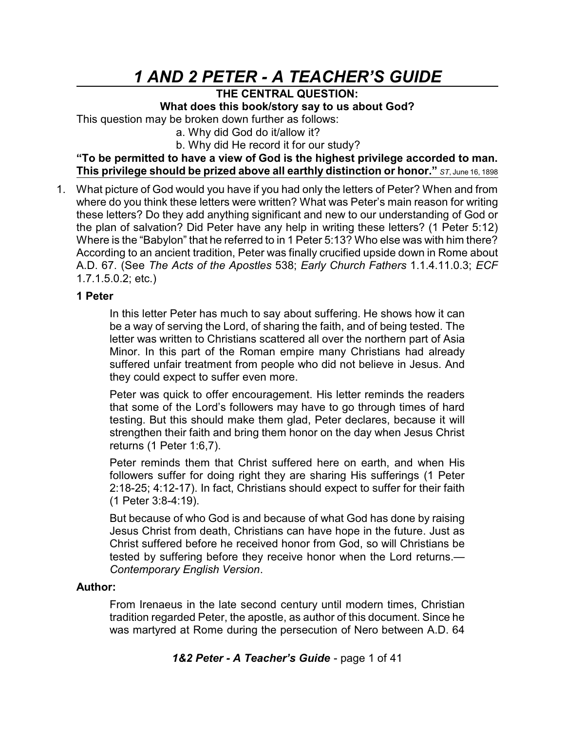# *1 AND 2 PETER - A TEACHER'S GUIDE*

## **THE CENTRAL QUESTION:**

**What does this book/story say to us about God?**

This question may be broken down further as follows:

a. Why did God do it/allow it?

b. Why did He record it for our study?

**"To be permitted to have a view of God is the highest privilege accorded to man. This privilege should be prized above all earthly distinction or honor."** *ST*, June 16, <sup>1898</sup>

1. What picture of God would you have if you had only the letters of Peter? When and from where do you think these letters were written? What was Peter's main reason for writing these letters? Do they add anything significant and new to our understanding of God or the plan of salvation? Did Peter have any help in writing these letters? (1 Peter 5:12) Where is the "Babylon" that he referred to in 1 Peter 5:13? Who else was with him there? According to an ancient tradition, Peter was finally crucified upside down in Rome about A.D. 67. (See *The Acts of the Apostles* 538; *Early Church Fathers* 1.1.4.11.0.3; *ECF* 1.7.1.5.0.2; etc.)

## **1 Peter**

In this letter Peter has much to say about suffering. He shows how it can be a way of serving the Lord, of sharing the faith, and of being tested. The letter was written to Christians scattered all over the northern part of Asia Minor. In this part of the Roman empire many Christians had already suffered unfair treatment from people who did not believe in Jesus. And they could expect to suffer even more.

Peter was quick to offer encouragement. His letter reminds the readers that some of the Lord's followers may have to go through times of hard testing. But this should make them glad, Peter declares, because it will strengthen their faith and bring them honor on the day when Jesus Christ returns (1 Peter 1:6,7).

Peter reminds them that Christ suffered here on earth, and when His followers suffer for doing right they are sharing His sufferings (1 Peter 2:18-25; 4:12-17). In fact, Christians should expect to suffer for their faith (1 Peter 3:8-4:19).

But because of who God is and because of what God has done by raising Jesus Christ from death, Christians can have hope in the future. Just as Christ suffered before he received honor from God, so will Christians be tested by suffering before they receive honor when the Lord returns.— *Contemporary English Version*.

## **Author:**

From Irenaeus in the late second century until modern times, Christian tradition regarded Peter, the apostle, as author of this document. Since he was martyred at Rome during the persecution of Nero between A.D. 64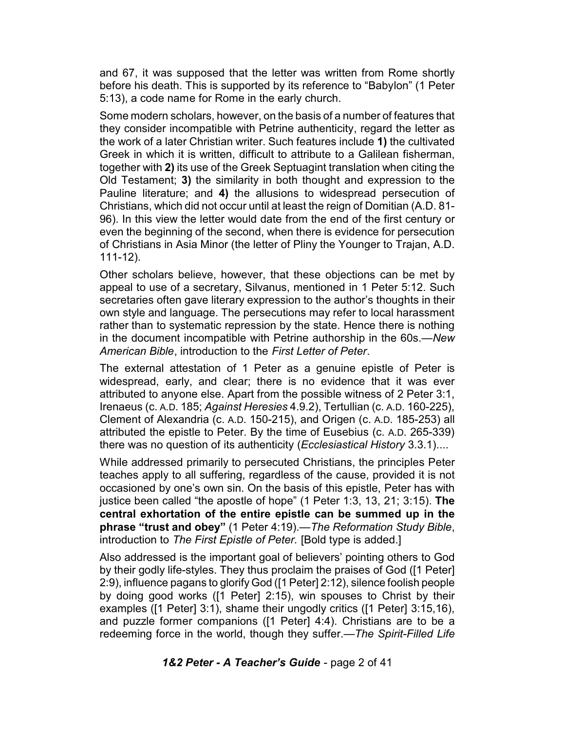and 67, it was supposed that the letter was written from Rome shortly before his death. This is supported by its reference to "Babylon" (1 Peter 5:13), a code name for Rome in the early church.

Some modern scholars, however, on the basis of a number of features that they consider incompatible with Petrine authenticity, regard the letter as the work of a later Christian writer. Such features include **1)** the cultivated Greek in which it is written, difficult to attribute to a Galilean fisherman, together with **2)** its use of the Greek Septuagint translation when citing the Old Testament; **3)** the similarity in both thought and expression to the Pauline literature; and **4)** the allusions to widespread persecution of Christians, which did not occur until at least the reign of Domitian (A.D. 81- 96). In this view the letter would date from the end of the first century or even the beginning of the second, when there is evidence for persecution of Christians in Asia Minor (the letter of Pliny the Younger to Trajan, A.D. 111-12).

Other scholars believe, however, that these objections can be met by appeal to use of a secretary, Silvanus, mentioned in 1 Peter 5:12. Such secretaries often gave literary expression to the author's thoughts in their own style and language. The persecutions may refer to local harassment rather than to systematic repression by the state. Hence there is nothing in the document incompatible with Petrine authorship in the 60s.—*New American Bible*, introduction to the *First Letter of Peter*.

The external attestation of 1 Peter as a genuine epistle of Peter is widespread, early, and clear; there is no evidence that it was ever attributed to anyone else. Apart from the possible witness of 2 Peter 3:1, Irenaeus (c. A.D. 185; *Against Heresies* 4.9.2), Tertullian (c. A.D. 160-225), Clement of Alexandria (c. A.D. 150-215), and Origen (c. A.D. 185-253) all attributed the epistle to Peter. By the time of Eusebius (c. A.D. 265-339) there was no question of its authenticity (*Ecclesiastical History* 3.3.1)....

While addressed primarily to persecuted Christians, the principles Peter teaches apply to all suffering, regardless of the cause, provided it is not occasioned by one's own sin. On the basis of this epistle, Peter has with justice been called "the apostle of hope" (1 Peter 1:3, 13, 21; 3:15). **The central exhortation of the entire epistle can be summed up in the phrase "trust and obey"** (1 Peter 4:19).—*The Reformation Study Bible*, introduction to *The First Epistle of Peter.* [Bold type is added.]

Also addressed is the important goal of believers' pointing others to God by their godly life-styles. They thus proclaim the praises of God ([1 Peter] 2:9), influence pagans to glorify God ([1 Peter] 2:12), silence foolish people by doing good works ([1 Peter] 2:15), win spouses to Christ by their examples ([1 Peter] 3:1), shame their ungodly critics ([1 Peter] 3:15,16), and puzzle former companions ([1 Peter] 4:4). Christians are to be a redeeming force in the world, though they suffer.—*The Spirit-Filled Life*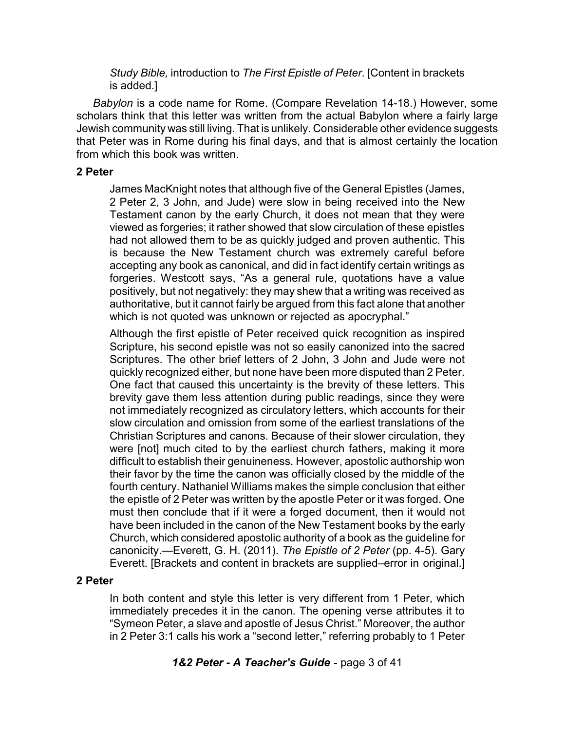*Study Bible,* introduction to *The First Epistle of Peter*. [Content in brackets is added.]

*Babylon* is a code name for Rome. (Compare Revelation 14-18.) However, some scholars think that this letter was written from the actual Babylon where a fairly large Jewish community was still living. That is unlikely. Considerable other evidence suggests that Peter was in Rome during his final days, and that is almost certainly the location from which this book was written.

#### **2 Peter**

James MacKnight notes that although five of the General Epistles (James, 2 Peter 2, 3 John, and Jude) were slow in being received into the New Testament canon by the early Church, it does not mean that they were viewed as forgeries; it rather showed that slow circulation of these epistles had not allowed them to be as quickly judged and proven authentic. This is because the New Testament church was extremely careful before accepting any book as canonical, and did in fact identify certain writings as forgeries. Westcott says, "As a general rule, quotations have a value positively, but not negatively: they may shew that a writing was received as authoritative, but it cannot fairly be argued from this fact alone that another which is not quoted was unknown or rejected as apocryphal."

Although the first epistle of Peter received quick recognition as inspired Scripture, his second epistle was not so easily canonized into the sacred Scriptures. The other brief letters of 2 John, 3 John and Jude were not quickly recognized either, but none have been more disputed than 2 Peter. One fact that caused this uncertainty is the brevity of these letters. This brevity gave them less attention during public readings, since they were not immediately recognized as circulatory letters, which accounts for their slow circulation and omission from some of the earliest translations of the Christian Scriptures and canons. Because of their slower circulation, they were [not] much cited to by the earliest church fathers, making it more difficult to establish their genuineness. However, apostolic authorship won their favor by the time the canon was officially closed by the middle of the fourth century. Nathaniel Williams makes the simple conclusion that either the epistle of 2 Peter was written by the apostle Peter or it was forged. One must then conclude that if it were a forged document, then it would not have been included in the canon of the New Testament books by the early Church, which considered apostolic authority of a book as the guideline for canonicity.—Everett, G. H. (2011). *The Epistle of 2 Peter* (pp. 4-5). Gary Everett. [Brackets and content in brackets are supplied–error in original.]

## **2 Peter**

In both content and style this letter is very different from 1 Peter, which immediately precedes it in the canon. The opening verse attributes it to "Symeon Peter, a slave and apostle of Jesus Christ." Moreover, the author in 2 Peter 3:1 calls his work a "second letter," referring probably to 1 Peter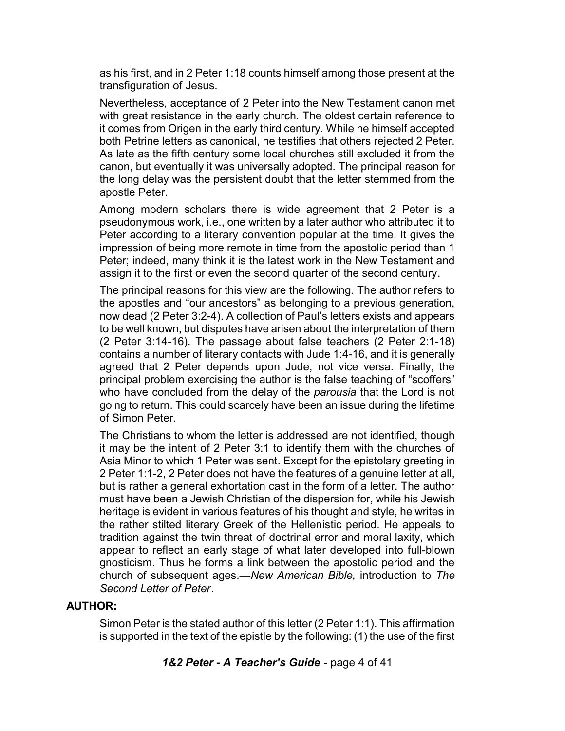as his first, and in 2 Peter 1:18 counts himself among those present at the transfiguration of Jesus.

Nevertheless, acceptance of 2 Peter into the New Testament canon met with great resistance in the early church. The oldest certain reference to it comes from Origen in the early third century. While he himself accepted both Petrine letters as canonical, he testifies that others rejected 2 Peter. As late as the fifth century some local churches still excluded it from the canon, but eventually it was universally adopted. The principal reason for the long delay was the persistent doubt that the letter stemmed from the apostle Peter.

Among modern scholars there is wide agreement that 2 Peter is a pseudonymous work, i.e., one written by a later author who attributed it to Peter according to a literary convention popular at the time. It gives the impression of being more remote in time from the apostolic period than 1 Peter; indeed, many think it is the latest work in the New Testament and assign it to the first or even the second quarter of the second century.

The principal reasons for this view are the following. The author refers to the apostles and "our ancestors" as belonging to a previous generation, now dead (2 Peter 3:2-4). A collection of Paul's letters exists and appears to be well known, but disputes have arisen about the interpretation of them (2 Peter 3:14-16). The passage about false teachers (2 Peter 2:1-18) contains a number of literary contacts with Jude 1:4-16, and it is generally agreed that 2 Peter depends upon Jude, not vice versa. Finally, the principal problem exercising the author is the false teaching of "scoffers" who have concluded from the delay of the *parousia* that the Lord is not going to return. This could scarcely have been an issue during the lifetime of Simon Peter.

The Christians to whom the letter is addressed are not identified, though it may be the intent of 2 Peter 3:1 to identify them with the churches of Asia Minor to which 1 Peter was sent. Except for the epistolary greeting in 2 Peter 1:1-2, 2 Peter does not have the features of a genuine letter at all, but is rather a general exhortation cast in the form of a letter. The author must have been a Jewish Christian of the dispersion for, while his Jewish heritage is evident in various features of his thought and style, he writes in the rather stilted literary Greek of the Hellenistic period. He appeals to tradition against the twin threat of doctrinal error and moral laxity, which appear to reflect an early stage of what later developed into full-blown gnosticism. Thus he forms a link between the apostolic period and the church of subsequent ages.—*New American Bible,* introduction to *The Second Letter of Peter*.

#### **AUTHOR:**

Simon Peter is the stated author of this letter (2 Peter 1:1). This affirmation is supported in the text of the epistle by the following: (1) the use of the first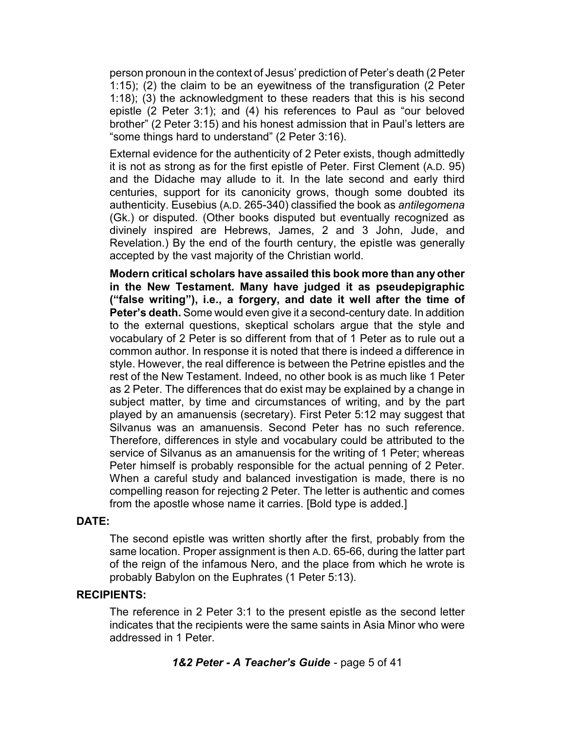person pronoun in the context of Jesus' prediction of Peter's death (2 Peter 1:15); (2) the claim to be an eyewitness of the transfiguration (2 Peter 1:18); (3) the acknowledgment to these readers that this is his second epistle (2 Peter 3:1); and (4) his references to Paul as "our beloved brother" (2 Peter 3:15) and his honest admission that in Paul's letters are "some things hard to understand" (2 Peter 3:16).

External evidence for the authenticity of 2 Peter exists, though admittedly it is not as strong as for the first epistle of Peter. First Clement (A.D. 95) and the Didache may allude to it. In the late second and early third centuries, support for its canonicity grows, though some doubted its authenticity. Eusebius (A.D. 265-340) classified the book as *antilegomena* (Gk.) or disputed. (Other books disputed but eventually recognized as divinely inspired are Hebrews, James, 2 and 3 John, Jude, and Revelation.) By the end of the fourth century, the epistle was generally accepted by the vast majority of the Christian world.

**Modern critical scholars have assailed this book more than any other in the New Testament. Many have judged it as pseudepigraphic ("false writing"), i.e., a forgery, and date it well after the time of Peter's death.** Some would even give it a second-century date. In addition to the external questions, skeptical scholars argue that the style and vocabulary of 2 Peter is so different from that of 1 Peter as to rule out a common author. In response it is noted that there is indeed a difference in style. However, the real difference is between the Petrine epistles and the rest of the New Testament. Indeed, no other book is as much like 1 Peter as 2 Peter. The differences that do exist may be explained by a change in subject matter, by time and circumstances of writing, and by the part played by an amanuensis (secretary). First Peter 5:12 may suggest that Silvanus was an amanuensis. Second Peter has no such reference. Therefore, differences in style and vocabulary could be attributed to the service of Silvanus as an amanuensis for the writing of 1 Peter; whereas Peter himself is probably responsible for the actual penning of 2 Peter. When a careful study and balanced investigation is made, there is no compelling reason for rejecting 2 Peter. The letter is authentic and comes from the apostle whose name it carries. [Bold type is added.]

## **DATE:**

The second epistle was written shortly after the first, probably from the same location. Proper assignment is then A.D. 65-66, during the latter part of the reign of the infamous Nero, and the place from which he wrote is probably Babylon on the Euphrates (1 Peter 5:13).

#### **RECIPIENTS:**

The reference in 2 Peter 3:1 to the present epistle as the second letter indicates that the recipients were the same saints in Asia Minor who were addressed in 1 Peter.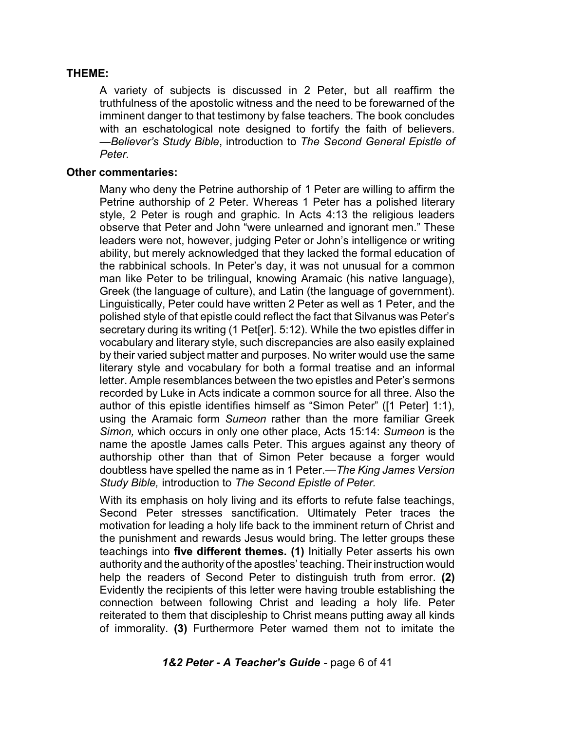## **THEME:**

A variety of subjects is discussed in 2 Peter, but all reaffirm the truthfulness of the apostolic witness and the need to be forewarned of the imminent danger to that testimony by false teachers. The book concludes with an eschatological note designed to fortify the faith of believers. —*Believer's Study Bible*, introduction to *The Second General Epistle of Peter.*

#### **Other commentaries:**

Many who deny the Petrine authorship of 1 Peter are willing to affirm the Petrine authorship of 2 Peter. Whereas 1 Peter has a polished literary style, 2 Peter is rough and graphic. In Acts 4:13 the religious leaders observe that Peter and John "were unlearned and ignorant men." These leaders were not, however, judging Peter or John's intelligence or writing ability, but merely acknowledged that they lacked the formal education of the rabbinical schools. In Peter's day, it was not unusual for a common man like Peter to be trilingual, knowing Aramaic (his native language), Greek (the language of culture), and Latin (the language of government). Linguistically, Peter could have written 2 Peter as well as 1 Peter, and the polished style of that epistle could reflect the fact that Silvanus was Peter's secretary during its writing (1 Pet[er]. 5:12). While the two epistles differ in vocabulary and literary style, such discrepancies are also easily explained by their varied subject matter and purposes. No writer would use the same literary style and vocabulary for both a formal treatise and an informal letter. Ample resemblances between the two epistles and Peter's sermons recorded by Luke in Acts indicate a common source for all three. Also the author of this epistle identifies himself as "Simon Peter" ([1 Peter] 1:1), using the Aramaic form *Sumeon* rather than the more familiar Greek *Simon,* which occurs in only one other place, Acts 15:14: *Sumeon* is the name the apostle James calls Peter. This argues against any theory of authorship other than that of Simon Peter because a forger would doubtless have spelled the name as in 1 Peter.—*The King James Version Study Bible,* introduction to *The Second Epistle of Peter.*

With its emphasis on holy living and its efforts to refute false teachings, Second Peter stresses sanctification. Ultimately Peter traces the motivation for leading a holy life back to the imminent return of Christ and the punishment and rewards Jesus would bring. The letter groups these teachings into **five different themes. (1)** Initially Peter asserts his own authority and the authority of the apostles' teaching. Their instruction would help the readers of Second Peter to distinguish truth from error. **(2)** Evidently the recipients of this letter were having trouble establishing the connection between following Christ and leading a holy life. Peter reiterated to them that discipleship to Christ means putting away all kinds of immorality. **(3)** Furthermore Peter warned them not to imitate the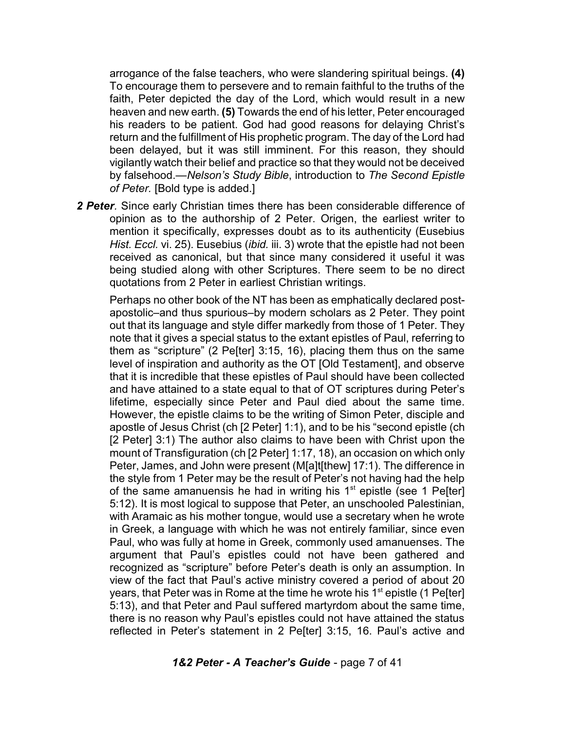arrogance of the false teachers, who were slandering spiritual beings. **(4)** To encourage them to persevere and to remain faithful to the truths of the faith, Peter depicted the day of the Lord, which would result in a new heaven and new earth. **(5)** Towards the end of his letter, Peter encouraged his readers to be patient. God had good reasons for delaying Christ's return and the fulfillment of His prophetic program. The day of the Lord had been delayed, but it was still imminent. For this reason, they should vigilantly watch their belief and practice so that they would not be deceived by falsehood.—*Nelson's Study Bible*, introduction to *The Second Epistle of Peter.* [Bold type is added.]

*2 Peter.* Since early Christian times there has been considerable difference of opinion as to the authorship of 2 Peter. Origen, the earliest writer to mention it specifically, expresses doubt as to its authenticity (Eusebius *Hist. Eccl.* vi. 25). Eusebius (*ibid.* iii. 3) wrote that the epistle had not been received as canonical, but that since many considered it useful it was being studied along with other Scriptures. There seem to be no direct quotations from 2 Peter in earliest Christian writings.

Perhaps no other book of the NT has been as emphatically declared postapostolic–and thus spurious–by modern scholars as 2 Peter. They point out that its language and style differ markedly from those of 1 Peter. They note that it gives a special status to the extant epistles of Paul, referring to them as "scripture" (2 Pe[ter] 3:15, 16), placing them thus on the same level of inspiration and authority as the OT [Old Testament], and observe that it is incredible that these epistles of Paul should have been collected and have attained to a state equal to that of OT scriptures during Peter's lifetime, especially since Peter and Paul died about the same time. However, the epistle claims to be the writing of Simon Peter, disciple and apostle of Jesus Christ (ch [2 Peter] 1:1), and to be his "second epistle (ch [2 Peter] 3:1) The author also claims to have been with Christ upon the mount of Transfiguration (ch [2 Peter] 1:17, 18), an occasion on which only Peter, James, and John were present (M[a]t[thew] 17:1). The difference in the style from 1 Peter may be the result of Peter's not having had the help of the same amanuensis he had in writing his 1<sup>st</sup> epistle (see 1 Pe[ter] 5:12). It is most logical to suppose that Peter, an unschooled Palestinian, with Aramaic as his mother tongue, would use a secretary when he wrote in Greek, a language with which he was not entirely familiar, since even Paul, who was fully at home in Greek, commonly used amanuenses. The argument that Paul's epistles could not have been gathered and recognized as "scripture" before Peter's death is only an assumption. In view of the fact that Paul's active ministry covered a period of about 20 years, that Peter was in Rome at the time he wrote his 1<sup>st</sup> epistle (1 Pe[ter] 5:13), and that Peter and Paul suffered martyrdom about the same time, there is no reason why Paul's epistles could not have attained the status reflected in Peter's statement in 2 Pe[ter] 3:15, 16. Paul's active and

*1&2 Peter - A Teacher's Guide* - page 7 of 41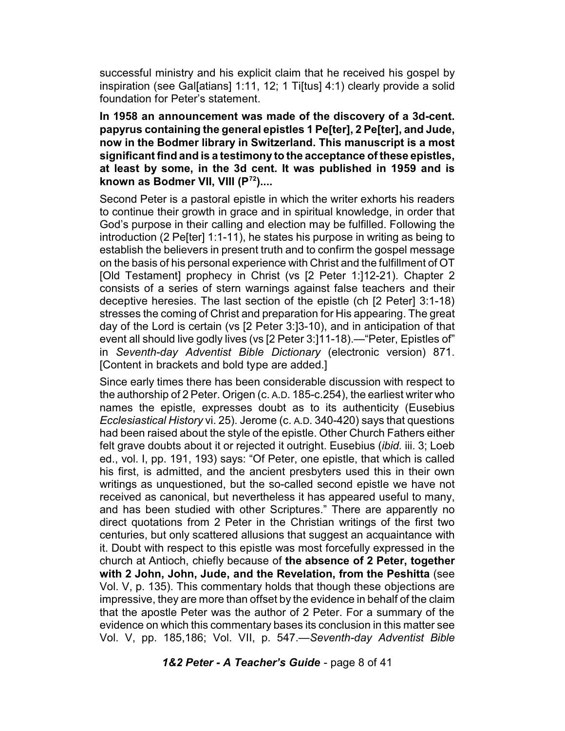successful ministry and his explicit claim that he received his gospel by inspiration (see Gal[atians] 1:11, 12; 1 Ti[tus] 4:1) clearly provide a solid foundation for Peter's statement.

**In 1958 an announcement was made of the discovery of a 3d-cent. papyrus containing the general epistles 1 Pe[ter], 2 Pe[ter], and Jude, now in the Bodmer library in Switzerland. This manuscript is a most significant find and is a testimony to the acceptance of these epistles, at least by some, in the 3d cent. It was published in 1959 and is known as Bodmer VII, VIII (P<sup>72</sup> )....**

Second Peter is a pastoral epistle in which the writer exhorts his readers to continue their growth in grace and in spiritual knowledge, in order that God's purpose in their calling and election may be fulfilled. Following the introduction (2 Pe[ter] 1:1-11), he states his purpose in writing as being to establish the believers in present truth and to confirm the gospel message on the basis of his personal experience with Christ and the fulfillment of OT [Old Testament] prophecy in Christ (vs [2 Peter 1:]12-21). Chapter 2 consists of a series of stern warnings against false teachers and their deceptive heresies. The last section of the epistle (ch [2 Peter] 3:1-18) stresses the coming of Christ and preparation for His appearing. The great day of the Lord is certain (vs [2 Peter 3:]3-10), and in anticipation of that event all should live godly lives (vs [2 Peter 3:]11-18).—"Peter, Epistles of" in *Seventh-day Adventist Bible Dictionary* (electronic version) 871. [Content in brackets and bold type are added.]

Since early times there has been considerable discussion with respect to the authorship of 2 Peter. Origen (c. A.D. 185-c.254), the earliest writer who names the epistle, expresses doubt as to its authenticity (Eusebius *Ecclesiastical History* vi. 25). Jerome (c. A.D. 340-420) says that questions had been raised about the style of the epistle. Other Church Fathers either felt grave doubts about it or rejected it outright. Eusebius (*ibid.* iii. 3; Loeb ed., vol. I, pp. 191, 193) says: "Of Peter, one epistle, that which is called his first, is admitted, and the ancient presbyters used this in their own writings as unquestioned, but the so-called second epistle we have not received as canonical, but nevertheless it has appeared useful to many, and has been studied with other Scriptures." There are apparently no direct quotations from 2 Peter in the Christian writings of the first two centuries, but only scattered allusions that suggest an acquaintance with it. Doubt with respect to this epistle was most forcefully expressed in the church at Antioch, chiefly because of **the absence of 2 Peter, together with 2 John, John, Jude, and the Revelation, from the Peshitta** (see Vol. V, p. 135). This commentary holds that though these objections are impressive, they are more than offset by the evidence in behalf of the claim that the apostle Peter was the author of 2 Peter. For a summary of the evidence on which this commentary bases its conclusion in this matter see Vol. V, pp. 185,186; Vol. VII, p. 547.—*Seventh-day Adventist Bible*

*1&2 Peter - A Teacher's Guide* - page 8 of 41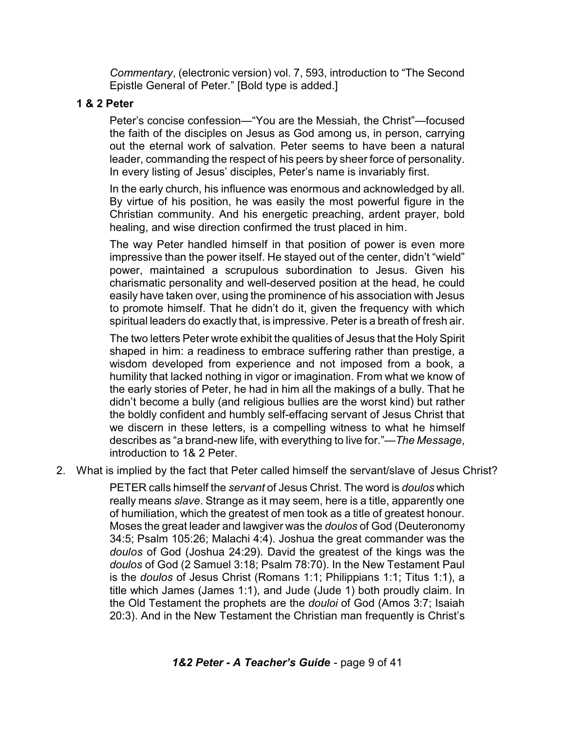*Commentary*, (electronic version) vol. 7, 593, introduction to "The Second Epistle General of Peter." [Bold type is added.]

## **1 & 2 Peter**

Peter's concise confession—"You are the Messiah, the Christ"—focused the faith of the disciples on Jesus as God among us, in person, carrying out the eternal work of salvation. Peter seems to have been a natural leader, commanding the respect of his peers by sheer force of personality. In every listing of Jesus' disciples, Peter's name is invariably first.

In the early church, his influence was enormous and acknowledged by all. By virtue of his position, he was easily the most powerful figure in the Christian community. And his energetic preaching, ardent prayer, bold healing, and wise direction confirmed the trust placed in him.

The way Peter handled himself in that position of power is even more impressive than the power itself. He stayed out of the center, didn't "wield" power, maintained a scrupulous subordination to Jesus. Given his charismatic personality and well-deserved position at the head, he could easily have taken over, using the prominence of his association with Jesus to promote himself. That he didn't do it, given the frequency with which spiritual leaders do exactly that, is impressive. Peter is a breath of fresh air.

The two letters Peter wrote exhibit the qualities of Jesus that the Holy Spirit shaped in him: a readiness to embrace suffering rather than prestige, a wisdom developed from experience and not imposed from a book, a humility that lacked nothing in vigor or imagination. From what we know of the early stories of Peter, he had in him all the makings of a bully. That he didn't become a bully (and religious bullies are the worst kind) but rather the boldly confident and humbly self-effacing servant of Jesus Christ that we discern in these letters, is a compelling witness to what he himself describes as "a brand-new life, with everything to live for."—*The Message*, introduction to 1& 2 Peter.

2. What is implied by the fact that Peter called himself the servant/slave of Jesus Christ?

PETER calls himself the *servant* of Jesus Christ. The word is *doulos* which really means *slave*. Strange as it may seem, here is a title, apparently one of humiliation, which the greatest of men took as a title of greatest honour. Moses the great leader and lawgiver was the *doulos* of God (Deuteronomy 34:5; Psalm 105:26; Malachi 4:4). Joshua the great commander was the *doulos* of God (Joshua 24:29). David the greatest of the kings was the *doulos* of God (2 Samuel 3:18; Psalm 78:70). In the New Testament Paul is the *doulos* of Jesus Christ (Romans 1:1; Philippians 1:1; Titus 1:1), a title which James (James 1:1), and Jude (Jude 1) both proudly claim. In the Old Testament the prophets are the *douloi* of God (Amos 3:7; Isaiah 20:3). And in the New Testament the Christian man frequently is Christ's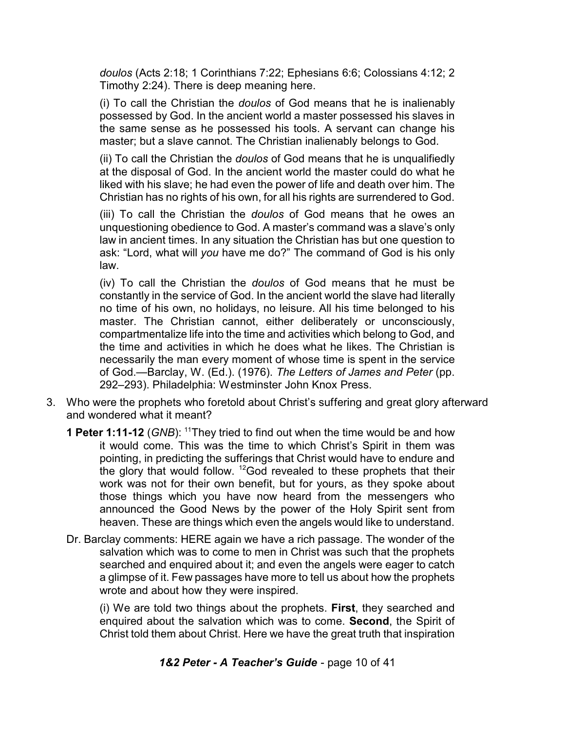*doulos* (Acts 2:18; 1 Corinthians 7:22; Ephesians 6:6; Colossians 4:12; 2 Timothy 2:24). There is deep meaning here.

(i) To call the Christian the *doulos* of God means that he is inalienably possessed by God. In the ancient world a master possessed his slaves in the same sense as he possessed his tools. A servant can change his master; but a slave cannot. The Christian inalienably belongs to God.

(ii) To call the Christian the *doulos* of God means that he is unqualifiedly at the disposal of God. In the ancient world the master could do what he liked with his slave; he had even the power of life and death over him. The Christian has no rights of his own, for all his rights are surrendered to God.

(iii) To call the Christian the *doulos* of God means that he owes an unquestioning obedience to God. A master's command was a slave's only law in ancient times. In any situation the Christian has but one question to ask: "Lord, what will *you* have me do?" The command of God is his only law.

(iv) To call the Christian the *doulos* of God means that he must be constantly in the service of God. In the ancient world the slave had literally no time of his own, no holidays, no leisure. All his time belonged to his master. The Christian cannot, either deliberately or unconsciously, compartmentalize life into the time and activities which belong to God, and the time and activities in which he does what he likes. The Christian is necessarily the man every moment of whose time is spent in the service of God.—Barclay, W. (Ed.). (1976). *The Letters of James and Peter* (pp. 292–293). Philadelphia: Westminster John Knox Press.

- 3. Who were the prophets who foretold about Christ's suffering and great glory afterward and wondered what it meant?
	- **1 Peter 1:11-12** (*GNB*): <sup>11</sup>They tried to find out when the time would be and how it would come. This was the time to which Christ's Spirit in them was pointing, in predicting the sufferings that Christ would have to endure and the glory that would follow. <sup>12</sup>God revealed to these prophets that their work was not for their own benefit, but for yours, as they spoke about those things which you have now heard from the messengers who announced the Good News by the power of the Holy Spirit sent from heaven. These are things which even the angels would like to understand.
	- Dr. Barclay comments: HERE again we have a rich passage. The wonder of the salvation which was to come to men in Christ was such that the prophets searched and enquired about it; and even the angels were eager to catch a glimpse of it. Few passages have more to tell us about how the prophets wrote and about how they were inspired.

(i) We are told two things about the prophets. **First**, they searched and enquired about the salvation which was to come. **Second**, the Spirit of Christ told them about Christ. Here we have the great truth that inspiration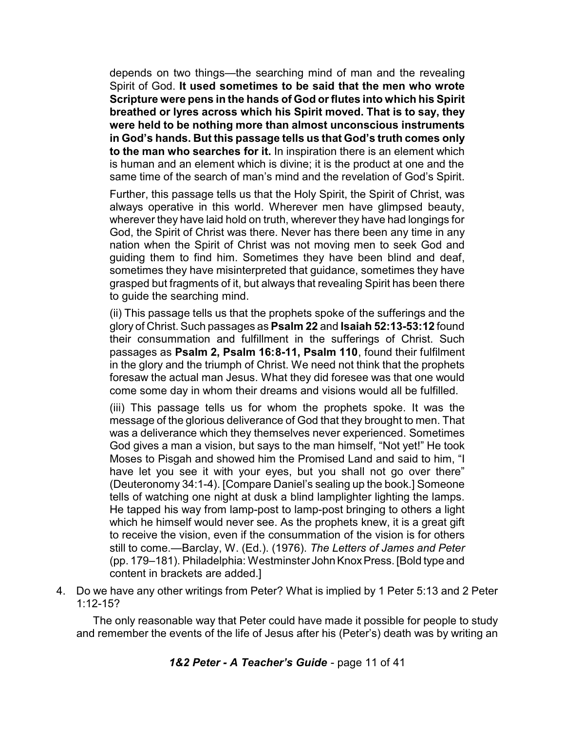depends on two things—the searching mind of man and the revealing Spirit of God. **It used sometimes to be said that the men who wrote Scripture were pens in the hands of God or flutes into which his Spirit breathed or lyres across which his Spirit moved. That is to say, they were held to be nothing more than almost unconscious instruments in God's hands. But this passage tells us that God's truth comes only to the man who searches for it.** In inspiration there is an element which is human and an element which is divine; it is the product at one and the same time of the search of man's mind and the revelation of God's Spirit.

Further, this passage tells us that the Holy Spirit, the Spirit of Christ, was always operative in this world. Wherever men have glimpsed beauty, wherever they have laid hold on truth, wherever they have had longings for God, the Spirit of Christ was there. Never has there been any time in any nation when the Spirit of Christ was not moving men to seek God and guiding them to find him. Sometimes they have been blind and deaf, sometimes they have misinterpreted that guidance, sometimes they have grasped but fragments of it, but always that revealing Spirit has been there to guide the searching mind.

(ii) This passage tells us that the prophets spoke of the sufferings and the glory of Christ. Such passages as **Psalm 22** and **Isaiah 52:13-53:12** found their consummation and fulfillment in the sufferings of Christ. Such passages as **Psalm 2, Psalm 16:8-11, Psalm 110**, found their fulfilment in the glory and the triumph of Christ. We need not think that the prophets foresaw the actual man Jesus. What they did foresee was that one would come some day in whom their dreams and visions would all be fulfilled.

(iii) This passage tells us for whom the prophets spoke. It was the message of the glorious deliverance of God that they brought to men. That was a deliverance which they themselves never experienced. Sometimes God gives a man a vision, but says to the man himself, "Not yet!" He took Moses to Pisgah and showed him the Promised Land and said to him, "I have let you see it with your eyes, but you shall not go over there" (Deuteronomy 34:1-4). [Compare Daniel's sealing up the book.] Someone tells of watching one night at dusk a blind lamplighter lighting the lamps. He tapped his way from lamp-post to lamp-post bringing to others a light which he himself would never see. As the prophets knew, it is a great gift to receive the vision, even if the consummation of the vision is for others still to come.—Barclay, W. (Ed.). (1976). *The Letters of James and Peter* (pp. 179–181). Philadelphia: Westminster John Knox Press. [Bold type and content in brackets are added.]

4. Do we have any other writings from Peter? What is implied by 1 Peter 5:13 and 2 Peter 1:12-15?

The only reasonable way that Peter could have made it possible for people to study and remember the events of the life of Jesus after his (Peter's) death was by writing an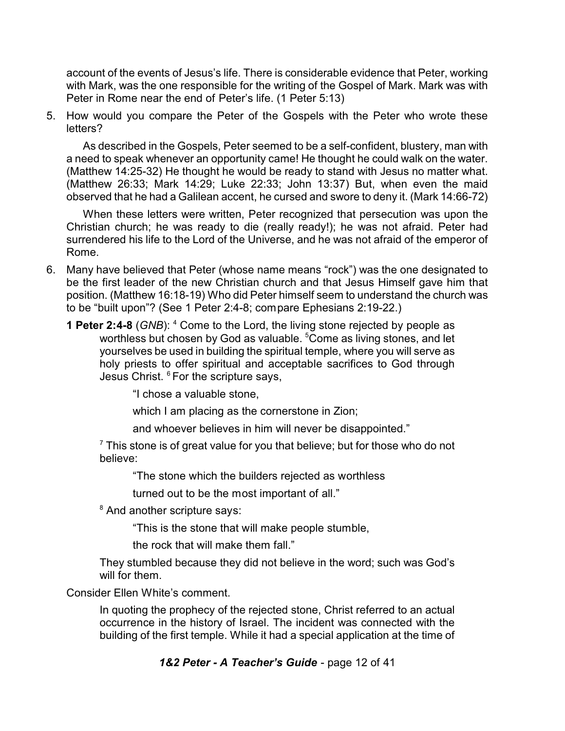account of the events of Jesus's life. There is considerable evidence that Peter, working with Mark, was the one responsible for the writing of the Gospel of Mark. Mark was with Peter in Rome near the end of Peter's life. (1 Peter 5:13)

5. How would you compare the Peter of the Gospels with the Peter who wrote these letters?

As described in the Gospels, Peter seemed to be a self-confident, blustery, man with a need to speak whenever an opportunity came! He thought he could walk on the water. (Matthew 14:25-32) He thought he would be ready to stand with Jesus no matter what. (Matthew 26:33; Mark 14:29; Luke 22:33; John 13:37) But, when even the maid observed that he had a Galilean accent, he cursed and swore to deny it. (Mark 14:66-72)

When these letters were written, Peter recognized that persecution was upon the Christian church; he was ready to die (really ready!); he was not afraid. Peter had surrendered his life to the Lord of the Universe, and he was not afraid of the emperor of Rome.

- 6. Many have believed that Peter (whose name means "rock") was the one designated to be the first leader of the new Christian church and that Jesus Himself gave him that position. (Matthew 16:18-19) Who did Peter himself seem to understand the church was to be "built upon"? (See 1 Peter 2:4-8; compare Ephesians 2:19-22.)
	- **1 Peter 2:4-8** (GNB): <sup>4</sup> Come to the Lord, the living stone rejected by people as worthless but chosen by God as valuable. <sup>5</sup> Come as living stones, and let yourselves be used in building the spiritual temple, where you will serve as holy priests to offer spiritual and acceptable sacrifices to God through Jesus Christ. <sup>6</sup> For the scripture says,

"I chose a valuable stone,

which I am placing as the cornerstone in Zion;

and whoever believes in him will never be disappointed."

 $7$  This stone is of great value for you that believe; but for those who do not believe:

"The stone which the builders rejected as worthless

turned out to be the most important of all."

<sup>8</sup> And another scripture says:

"This is the stone that will make people stumble,

the rock that will make them fall."

They stumbled because they did not believe in the word; such was God's will for them.

Consider Ellen White's comment.

In quoting the prophecy of the rejected stone, Christ referred to an actual occurrence in the history of Israel. The incident was connected with the building of the first temple. While it had a special application at the time of

*1&2 Peter - A Teacher's Guide* - page 12 of 41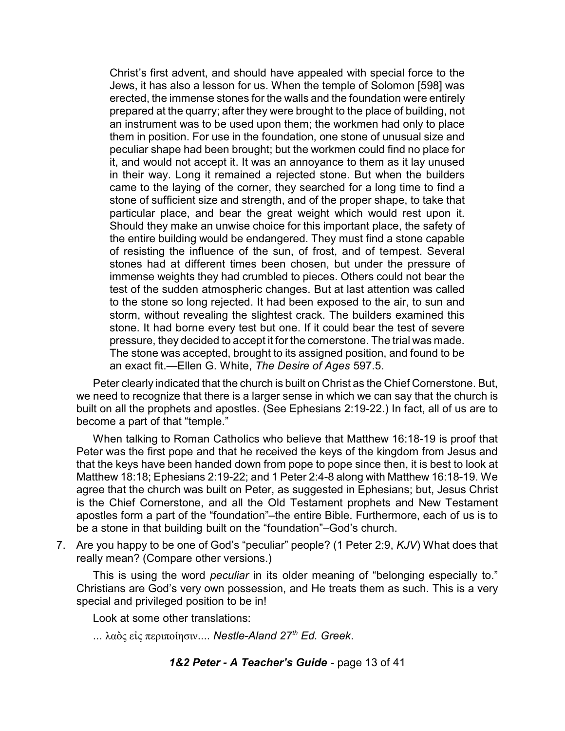Christ's first advent, and should have appealed with special force to the Jews, it has also a lesson for us. When the temple of Solomon [598] was erected, the immense stones for the walls and the foundation were entirely prepared at the quarry; after they were brought to the place of building, not an instrument was to be used upon them; the workmen had only to place them in position. For use in the foundation, one stone of unusual size and peculiar shape had been brought; but the workmen could find no place for it, and would not accept it. It was an annoyance to them as it lay unused in their way. Long it remained a rejected stone. But when the builders came to the laying of the corner, they searched for a long time to find a stone of sufficient size and strength, and of the proper shape, to take that particular place, and bear the great weight which would rest upon it. Should they make an unwise choice for this important place, the safety of the entire building would be endangered. They must find a stone capable of resisting the influence of the sun, of frost, and of tempest. Several stones had at different times been chosen, but under the pressure of immense weights they had crumbled to pieces. Others could not bear the test of the sudden atmospheric changes. But at last attention was called to the stone so long rejected. It had been exposed to the air, to sun and storm, without revealing the slightest crack. The builders examined this stone. It had borne every test but one. If it could bear the test of severe pressure, they decided to accept it for the cornerstone. The trial was made. The stone was accepted, brought to its assigned position, and found to be an exact fit.—Ellen G. White, *The Desire of Ages* 597.5.

Peter clearly indicated that the church is built on Christ as the Chief Cornerstone. But, we need to recognize that there is a larger sense in which we can say that the church is built on all the prophets and apostles. (See Ephesians 2:19-22.) In fact, all of us are to become a part of that "temple."

When talking to Roman Catholics who believe that Matthew 16:18-19 is proof that Peter was the first pope and that he received the keys of the kingdom from Jesus and that the keys have been handed down from pope to pope since then, it is best to look at Matthew 18:18; Ephesians 2:19-22; and 1 Peter 2:4-8 along with Matthew 16:18-19. We agree that the church was built on Peter, as suggested in Ephesians; but, Jesus Christ is the Chief Cornerstone, and all the Old Testament prophets and New Testament apostles form a part of the "foundation"–the entire Bible. Furthermore, each of us is to be a stone in that building built on the "foundation"–God's church.

7. Are you happy to be one of God's "peculiar" people? (1 Peter 2:9, *KJV*) What does that really mean? (Compare other versions.)

This is using the word *peculiar* in its older meaning of "belonging especially to." Christians are God's very own possession, and He treats them as such. This is a very special and privileged position to be in!

Look at some other translations:

... λαὸς εἰς περιποίησιν.... Nestle-Aland 27<sup>th</sup> Ed. Greek.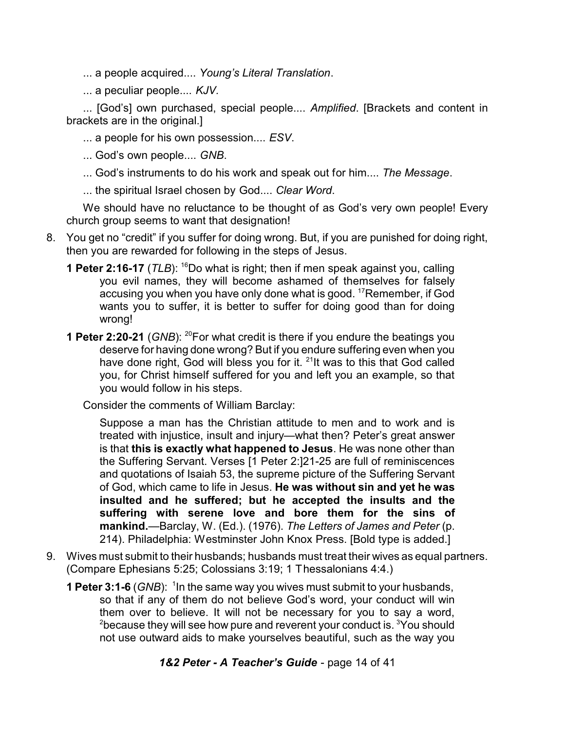- ... a people acquired.... *Young's Literal Translation*.
- ... a peculiar people.... *KJV.*

... [God's] own purchased, special people.... *Amplified*. [Brackets and content in brackets are in the original.]

- ... a people for his own possession.... *ESV*.
- ... God's own people.... *GNB*.
- ... God's instruments to do his work and speak out for him.... *The Message*.
- ... the spiritual Israel chosen by God.... *Clear Word*.

We should have no reluctance to be thought of as God's very own people! Every church group seems to want that designation!

- 8. You get no "credit" if you suffer for doing wrong. But, if you are punished for doing right, then you are rewarded for following in the steps of Jesus.
	- **1 Peter 2:16-17** (*TLB*): <sup>16</sup>Do what is right; then if men speak against you, calling you evil names, they will become ashamed of themselves for falsely accusing you when you have only done what is good. <sup>17</sup>Remember, if God wants you to suffer, it is better to suffer for doing good than for doing wrong!
	- **1 Peter 2:20-21** (*GNB*): <sup>20</sup>For what credit is there if you endure the beatings you deserve for having done wrong? But if you endure suffering even when you have done right, God will bless you for it. <sup>21</sup>lt was to this that God called you, for Christ himself suffered for you and left you an example, so that you would follow in his steps.

Consider the comments of William Barclay:

Suppose a man has the Christian attitude to men and to work and is treated with injustice, insult and injury—what then? Peter's great answer is that **this is exactly what happened to Jesus**. He was none other than the Suffering Servant. Verses [1 Peter 2:]21-25 are full of reminiscences and quotations of Isaiah 53, the supreme picture of the Suffering Servant of God, which came to life in Jesus. **He was without sin and yet he was insulted and he suffered; but he accepted the insults and the suffering with serene love and bore them for the sins of mankind.**—Barclay, W. (Ed.). (1976). *The Letters of James and Peter* (p. 214). Philadelphia: Westminster John Knox Press. [Bold type is added.]

- 9. Wives must submit to their husbands; husbands must treat their wives as equal partners. (Compare Ephesians 5:25; Colossians 3:19; 1 Thessalonians 4:4.)
	- **1 Peter 3:1-6** (GNB): <sup>1</sup>In the same way you wives must submit to your husbands, so that if any of them do not believe God's word, your conduct will win them over to believe. It will not be necessary for you to say a word,  $^2$ because they will see how pure and reverent your conduct is.  $^3$ You should not use outward aids to make yourselves beautiful, such as the way you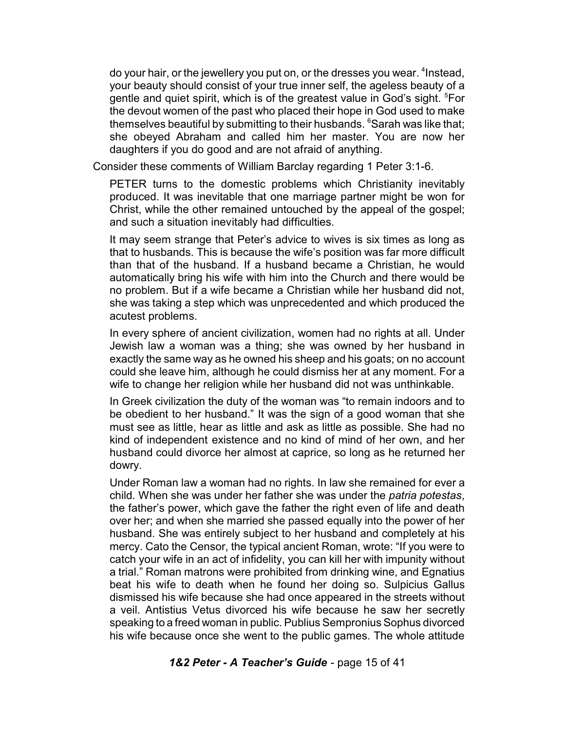do your hair, or the jewellery you put on, or the dresses you wear. <sup>4</sup>Instead, your beauty should consist of your true inner self, the ageless beauty of a gentle and quiet spirit, which is of the greatest value in God's sight. <sup>5</sup>For the devout women of the past who placed their hope in God used to make themselves beautiful by submitting to their husbands. <sup>6</sup>Sarah was like that; she obeyed Abraham and called him her master. You are now her daughters if you do good and are not afraid of anything.

Consider these comments of William Barclay regarding 1 Peter 3:1-6.

PETER turns to the domestic problems which Christianity inevitably produced. It was inevitable that one marriage partner might be won for Christ, while the other remained untouched by the appeal of the gospel; and such a situation inevitably had difficulties.

It may seem strange that Peter's advice to wives is six times as long as that to husbands. This is because the wife's position was far more difficult than that of the husband. If a husband became a Christian, he would automatically bring his wife with him into the Church and there would be no problem. But if a wife became a Christian while her husband did not, she was taking a step which was unprecedented and which produced the acutest problems.

In every sphere of ancient civilization, women had no rights at all. Under Jewish law a woman was a thing; she was owned by her husband in exactly the same way as he owned his sheep and his goats; on no account could she leave him, although he could dismiss her at any moment. For a wife to change her religion while her husband did not was unthinkable.

In Greek civilization the duty of the woman was "to remain indoors and to be obedient to her husband." It was the sign of a good woman that she must see as little, hear as little and ask as little as possible. She had no kind of independent existence and no kind of mind of her own, and her husband could divorce her almost at caprice, so long as he returned her dowry.

Under Roman law a woman had no rights. In law she remained for ever a child. When she was under her father she was under the *patria potestas*, the father's power, which gave the father the right even of life and death over her; and when she married she passed equally into the power of her husband. She was entirely subject to her husband and completely at his mercy. Cato the Censor, the typical ancient Roman, wrote: "If you were to catch your wife in an act of infidelity, you can kill her with impunity without a trial." Roman matrons were prohibited from drinking wine, and Egnatius beat his wife to death when he found her doing so. Sulpicius Gallus dismissed his wife because she had once appeared in the streets without a veil. Antistius Vetus divorced his wife because he saw her secretly speaking to a freed woman in public. Publius Sempronius Sophus divorced his wife because once she went to the public games. The whole attitude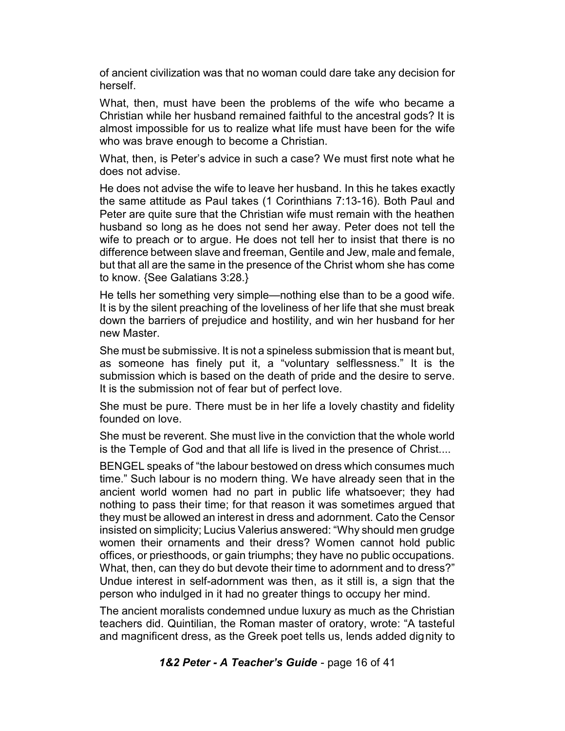of ancient civilization was that no woman could dare take any decision for herself.

What, then, must have been the problems of the wife who became a Christian while her husband remained faithful to the ancestral gods? It is almost impossible for us to realize what life must have been for the wife who was brave enough to become a Christian.

What, then, is Peter's advice in such a case? We must first note what he does not advise.

He does not advise the wife to leave her husband. In this he takes exactly the same attitude as Paul takes (1 Corinthians 7:13-16). Both Paul and Peter are quite sure that the Christian wife must remain with the heathen husband so long as he does not send her away. Peter does not tell the wife to preach or to argue. He does not tell her to insist that there is no difference between slave and freeman, Gentile and Jew, male and female, but that all are the same in the presence of the Christ whom she has come to know. {See Galatians 3:28.}

He tells her something very simple—nothing else than to be a good wife. It is by the silent preaching of the loveliness of her life that she must break down the barriers of prejudice and hostility, and win her husband for her new Master.

She must be submissive. It is not a spineless submission that is meant but, as someone has finely put it, a "voluntary selflessness." It is the submission which is based on the death of pride and the desire to serve. It is the submission not of fear but of perfect love.

She must be pure. There must be in her life a lovely chastity and fidelity founded on love.

She must be reverent. She must live in the conviction that the whole world is the Temple of God and that all life is lived in the presence of Christ....

BENGEL speaks of "the labour bestowed on dress which consumes much time." Such labour is no modern thing. We have already seen that in the ancient world women had no part in public life whatsoever; they had nothing to pass their time; for that reason it was sometimes argued that they must be allowed an interest in dress and adornment. Cato the Censor insisted on simplicity; Lucius Valerius answered: "Why should men grudge women their ornaments and their dress? Women cannot hold public offices, or priesthoods, or gain triumphs; they have no public occupations. What, then, can they do but devote their time to adornment and to dress?" Undue interest in self-adornment was then, as it still is, a sign that the person who indulged in it had no greater things to occupy her mind.

The ancient moralists condemned undue luxury as much as the Christian teachers did. Quintilian, the Roman master of oratory, wrote: "A tasteful and magnificent dress, as the Greek poet tells us, lends added dignity to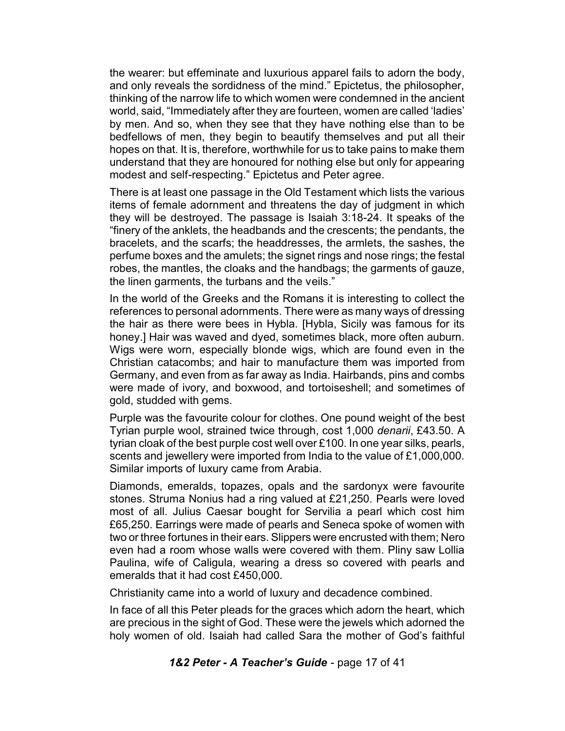the wearer: but effeminate and luxurious apparel fails to adorn the body, and only reveals the sordidness of the mind." Epictetus, the philosopher, thinking of the narrow life to which women were condemned in the ancient world, said, "Immediately after they are fourteen, women are called 'ladies' by men. And so, when they see that they have nothing else than to be bedfellows of men, they begin to beautify themselves and put all their hopes on that. It is, therefore, worthwhile for us to take pains to make them understand that they are honoured for nothing else but only for appearing modest and self-respecting." Epictetus and Peter agree.

There is at least one passage in the Old Testament which lists the various items of female adornment and threatens the day of judgment in which they will be destroyed. The passage is Isaiah 3:18-24. It speaks of the "finery of the anklets, the headbands and the crescents; the pendants, the bracelets, and the scarfs; the headdresses, the armlets, the sashes, the perfume boxes and the amulets; the signet rings and nose rings; the festal robes, the mantles, the cloaks and the handbags; the garments of gauze, the linen garments, the turbans and the veils."

In the world of the Greeks and the Romans it is interesting to collect the references to personal adornments. There were as many ways of dressing the hair as there were bees in Hybla. [Hybla, Sicily was famous for its honey.] Hair was waved and dyed, sometimes black, more often auburn. Wigs were worn, especially blonde wigs, which are found even in the Christian catacombs; and hair to manufacture them was imported from Germany, and even from as far away as India. Hairbands, pins and combs were made of ivory, and boxwood, and tortoiseshell; and sometimes of gold, studded with gems.

Purple was the favourite colour for clothes. One pound weight of the best Tyrian purple wool, strained twice through, cost 1,000 *denarii*, £43.50. A tyrian cloak of the best purple cost well over £100. In one year silks, pearls, scents and jewellery were imported from India to the value of £1,000,000. Similar imports of luxury came from Arabia.

Diamonds, emeralds, topazes, opals and the sardonyx were favourite stones. Struma Nonius had a ring valued at £21,250. Pearls were loved most of all. Julius Caesar bought for Servilia a pearl which cost him £65,250. Earrings were made of pearls and Seneca spoke of women with two or three fortunes in their ears. Slippers were encrusted with them; Nero even had a room whose walls were covered with them. Pliny saw Lollia Paulina, wife of Caligula, wearing a dress so covered with pearls and emeralds that it had cost £450,000.

Christianity came into a world of luxury and decadence combined.

In face of all this Peter pleads for the graces which adorn the heart, which are precious in the sight of God. These were the jewels which adorned the holy women of old. Isaiah had called Sara the mother of God's faithful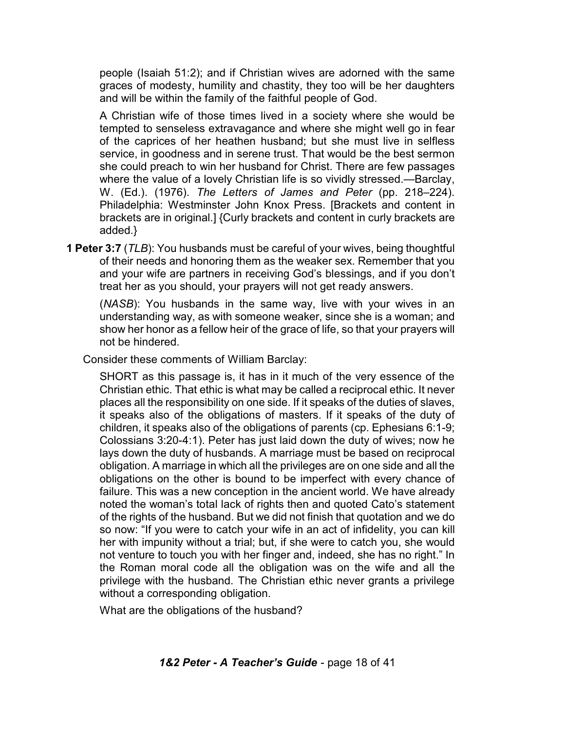people (Isaiah 51:2); and if Christian wives are adorned with the same graces of modesty, humility and chastity, they too will be her daughters and will be within the family of the faithful people of God.

A Christian wife of those times lived in a society where she would be tempted to senseless extravagance and where she might well go in fear of the caprices of her heathen husband; but she must live in selfless service, in goodness and in serene trust. That would be the best sermon she could preach to win her husband for Christ. There are few passages where the value of a lovely Christian life is so vividly stressed.—Barclay, W. (Ed.). (1976). *The Letters of James and Peter* (pp. 218–224). Philadelphia: Westminster John Knox Press. [Brackets and content in brackets are in original.] {Curly brackets and content in curly brackets are added.}

**1 Peter 3:7** (*TLB*): You husbands must be careful of your wives, being thoughtful of their needs and honoring them as the weaker sex. Remember that you and your wife are partners in receiving God's blessings, and if you don't treat her as you should, your prayers will not get ready answers.

(*NASB*): You husbands in the same way, live with your wives in an understanding way, as with someone weaker, since she is a woman; and show her honor as a fellow heir of the grace of life, so that your prayers will not be hindered.

Consider these comments of William Barclay:

SHORT as this passage is, it has in it much of the very essence of the Christian ethic. That ethic is what may be called a reciprocal ethic. It never places all the responsibility on one side. If it speaks of the duties of slaves, it speaks also of the obligations of masters. If it speaks of the duty of children, it speaks also of the obligations of parents (cp. Ephesians 6:1-9; Colossians 3:20-4:1). Peter has just laid down the duty of wives; now he lays down the duty of husbands. A marriage must be based on reciprocal obligation. A marriage in which all the privileges are on one side and all the obligations on the other is bound to be imperfect with every chance of failure. This was a new conception in the ancient world. We have already noted the woman's total lack of rights then and quoted Cato's statement of the rights of the husband. But we did not finish that quotation and we do so now: "If you were to catch your wife in an act of infidelity, you can kill her with impunity without a trial; but, if she were to catch you, she would not venture to touch you with her finger and, indeed, she has no right." In the Roman moral code all the obligation was on the wife and all the privilege with the husband. The Christian ethic never grants a privilege without a corresponding obligation.

What are the obligations of the husband?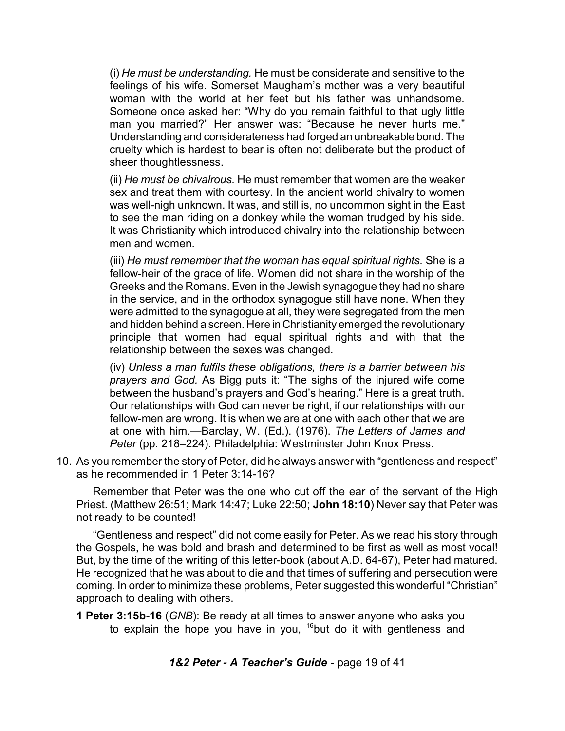(i) *He must be understanding.* He must be considerate and sensitive to the feelings of his wife. Somerset Maugham's mother was a very beautiful woman with the world at her feet but his father was unhandsome. Someone once asked her: "Why do you remain faithful to that ugly little man you married?" Her answer was: "Because he never hurts me." Understanding and considerateness had forged an unbreakable bond.The cruelty which is hardest to bear is often not deliberate but the product of sheer thoughtlessness.

(ii) *He must be chivalrous.* He must remember that women are the weaker sex and treat them with courtesy. In the ancient world chivalry to women was well-nigh unknown. It was, and still is, no uncommon sight in the East to see the man riding on a donkey while the woman trudged by his side. It was Christianity which introduced chivalry into the relationship between men and women.

(iii) *He must remember that the woman has equal spiritual rights.* She is a fellow-heir of the grace of life. Women did not share in the worship of the Greeks and the Romans. Even in the Jewish synagogue they had no share in the service, and in the orthodox synagogue still have none. When they were admitted to the synagogue at all, they were segregated from the men and hidden behind a screen. Here in Christianity emerged the revolutionary principle that women had equal spiritual rights and with that the relationship between the sexes was changed.

(iv) *Unless a man fulfils these obligations, there is a barrier between his prayers and God.* As Bigg puts it: "The sighs of the injured wife come between the husband's prayers and God's hearing." Here is a great truth. Our relationships with God can never be right, if our relationships with our fellow-men are wrong. It is when we are at one with each other that we are at one with him.—Barclay, W. (Ed.). (1976). *The Letters of James and Peter* (pp. 218–224). Philadelphia: Westminster John Knox Press.

10. As you remember the story of Peter, did he always answer with "gentleness and respect" as he recommended in 1 Peter 3:14-16?

Remember that Peter was the one who cut off the ear of the servant of the High Priest. (Matthew 26:51; Mark 14:47; Luke 22:50; **John 18:10**) Never say that Peter was not ready to be counted!

"Gentleness and respect" did not come easily for Peter. As we read his story through the Gospels, he was bold and brash and determined to be first as well as most vocal! But, by the time of the writing of this letter-book (about A.D. 64-67), Peter had matured. He recognized that he was about to die and that times of suffering and persecution were coming. In order to minimize these problems, Peter suggested this wonderful "Christian" approach to dealing with others.

**1 Peter 3:15b-16** (*GNB*): Be ready at all times to answer anyone who asks you to explain the hope you have in you,  $16$  but do it with gentleness and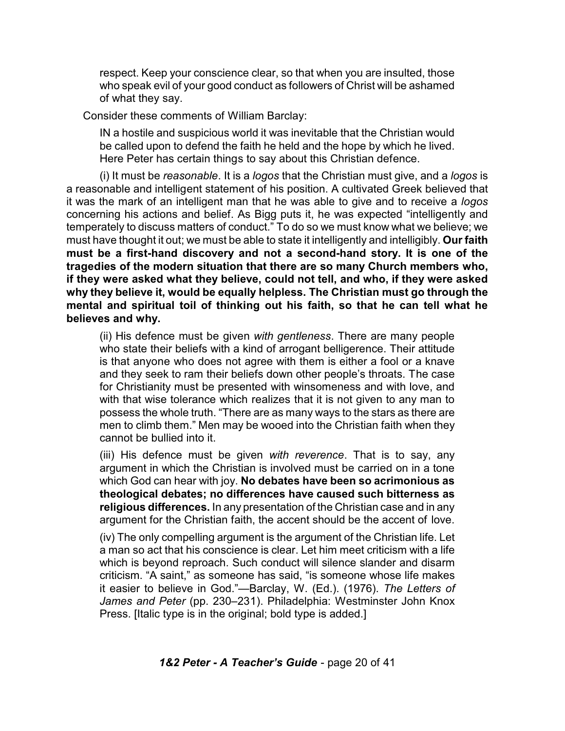respect. Keep your conscience clear, so that when you are insulted, those who speak evil of your good conduct as followers of Christ will be ashamed of what they say.

Consider these comments of William Barclay:

IN a hostile and suspicious world it was inevitable that the Christian would be called upon to defend the faith he held and the hope by which he lived. Here Peter has certain things to say about this Christian defence.

(i) It must be *reasonable*. It is a *logos* that the Christian must give, and a *logos* is a reasonable and intelligent statement of his position. A cultivated Greek believed that it was the mark of an intelligent man that he was able to give and to receive a *logos* concerning his actions and belief. As Bigg puts it, he was expected "intelligently and temperately to discuss matters of conduct." To do so we must know what we believe; we must have thought it out; we must be able to state it intelligently and intelligibly. **Our faith must be a first-hand discovery and not a second-hand story. It is one of the tragedies of the modern situation that there are so many Church members who, if they were asked what they believe, could not tell, and who, if they were asked why they believe it, would be equally helpless. The Christian must go through the mental and spiritual toil of thinking out his faith, so that he can tell what he believes and why.**

(ii) His defence must be given *with gentleness*. There are many people who state their beliefs with a kind of arrogant belligerence. Their attitude is that anyone who does not agree with them is either a fool or a knave and they seek to ram their beliefs down other people's throats. The case for Christianity must be presented with winsomeness and with love, and with that wise tolerance which realizes that it is not given to any man to possess the whole truth. "There are as many ways to the stars as there are men to climb them." Men may be wooed into the Christian faith when they cannot be bullied into it.

(iii) His defence must be given *with reverence*. That is to say, any argument in which the Christian is involved must be carried on in a tone which God can hear with joy. **No debates have been so acrimonious as theological debates; no differences have caused such bitterness as religious differences.** In any presentation of the Christian case and in any argument for the Christian faith, the accent should be the accent of love.

(iv) The only compelling argument is the argument of the Christian life. Let a man so act that his conscience is clear. Let him meet criticism with a life which is beyond reproach. Such conduct will silence slander and disarm criticism. "A saint," as someone has said, "is someone whose life makes it easier to believe in God."—Barclay, W. (Ed.). (1976). *The Letters of James and Peter* (pp. 230–231). Philadelphia: Westminster John Knox Press. [Italic type is in the original; bold type is added.]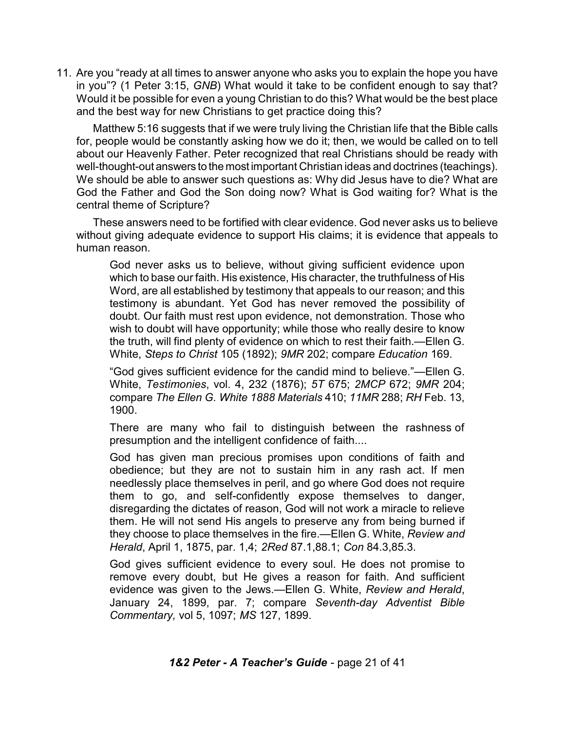11. Are you "ready at all times to answer anyone who asks you to explain the hope you have in you"? (1 Peter 3:15, *GNB*) What would it take to be confident enough to say that? Would it be possible for even a young Christian to do this? What would be the best place and the best way for new Christians to get practice doing this?

Matthew 5:16 suggests that if we were truly living the Christian life that the Bible calls for, people would be constantly asking how we do it; then, we would be called on to tell about our Heavenly Father. Peter recognized that real Christians should be ready with well-thought-out answers to the most important Christian ideas and doctrines (teachings). We should be able to answer such questions as: Why did Jesus have to die? What are God the Father and God the Son doing now? What is God waiting for? What is the central theme of Scripture?

These answers need to be fortified with clear evidence. God never asks us to believe without giving adequate evidence to support His claims; it is evidence that appeals to human reason.

God never asks us to believe, without giving sufficient evidence upon which to base our faith. His existence, His character, the truthfulness of His Word, are all established by testimony that appeals to our reason; and this testimony is abundant. Yet God has never removed the possibility of doubt. Our faith must rest upon evidence, not demonstration. Those who wish to doubt will have opportunity; while those who really desire to know the truth, will find plenty of evidence on which to rest their faith.—Ellen G. White, *Steps to Christ* 105 (1892); *9MR* 202; compare *Education* 169.

"God gives sufficient evidence for the candid mind to believe."—Ellen G. White, *Testimonies*, vol. 4, 232 (1876); *5T* 675; *2MCP* 672; *9MR* 204; compare *The Ellen G. White 1888 Materials* 410; *11MR* 288; *RH* Feb. 13, 1900.

There are many who fail to distinguish between the rashness of presumption and the intelligent confidence of faith....

God has given man precious promises upon conditions of faith and obedience; but they are not to sustain him in any rash act. If men needlessly place themselves in peril, and go where God does not require them to go, and self-confidently expose themselves to danger, disregarding the dictates of reason, God will not work a miracle to relieve them. He will not send His angels to preserve any from being burned if they choose to place themselves in the fire.—Ellen G. White, *Review and Herald*, April 1, 1875, par. 1,4; *2Red* 87.1,88.1; *Con* 84.3,85.3.

God gives sufficient evidence to every soul. He does not promise to remove every doubt, but He gives a reason for faith. And sufficient evidence was given to the Jews.—Ellen G. White, *Review and Herald*, January 24, 1899, par. 7; compare *Seventh-day Adventist Bible Commentary,* vol 5, 1097; *MS* 127, 1899.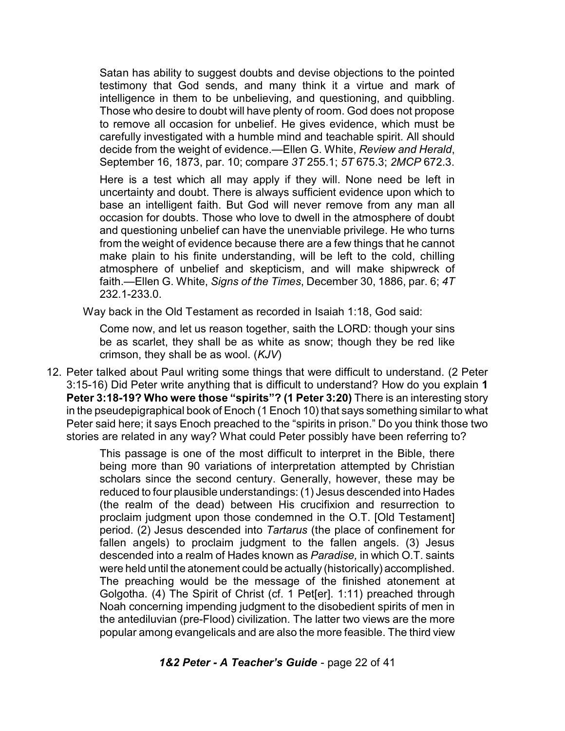Satan has ability to suggest doubts and devise objections to the pointed testimony that God sends, and many think it a virtue and mark of intelligence in them to be unbelieving, and questioning, and quibbling. Those who desire to doubt will have plenty of room. God does not propose to remove all occasion for unbelief. He gives evidence, which must be carefully investigated with a humble mind and teachable spirit. All should decide from the weight of evidence.—Ellen G. White, *Review and Herald*, September 16, 1873, par. 10; compare *3T* 255.1; *5T* 675.3; *2MCP* 672.3.

Here is a test which all may apply if they will. None need be left in uncertainty and doubt. There is always sufficient evidence upon which to base an intelligent faith. But God will never remove from any man all occasion for doubts. Those who love to dwell in the atmosphere of doubt and questioning unbelief can have the unenviable privilege. He who turns from the weight of evidence because there are a few things that he cannot make plain to his finite understanding, will be left to the cold, chilling atmosphere of unbelief and skepticism, and will make shipwreck of faith.—Ellen G. White, *Signs of the Times*, December 30, 1886, par. 6; *4T* 232.1-233.0.

Way back in the Old Testament as recorded in Isaiah 1:18, God said:

Come now, and let us reason together, saith the LORD: though your sins be as scarlet, they shall be as white as snow; though they be red like crimson, they shall be as wool. (*KJV*)

12. Peter talked about Paul writing some things that were difficult to understand. (2 Peter 3:15-16) Did Peter write anything that is difficult to understand? How do you explain **1 Peter 3:18-19? Who were those "spirits"? (1 Peter 3:20)** There is an interesting story in the pseudepigraphical book of Enoch (1 Enoch 10) that says something similar to what Peter said here; it says Enoch preached to the "spirits in prison." Do you think those two stories are related in any way? What could Peter possibly have been referring to?

> This passage is one of the most difficult to interpret in the Bible, there being more than 90 variations of interpretation attempted by Christian scholars since the second century. Generally, however, these may be reduced to four plausible understandings: (1) Jesus descended into Hades (the realm of the dead) between His crucifixion and resurrection to proclaim judgment upon those condemned in the O.T. [Old Testament] period. (2) Jesus descended into *Tartarus* (the place of confinement for fallen angels) to proclaim judgment to the fallen angels. (3) Jesus descended into a realm of Hades known as *Paradise,* in which O.T. saints were held until the atonement could be actually (historically) accomplished. The preaching would be the message of the finished atonement at Golgotha. (4) The Spirit of Christ (cf. 1 Pet[er]. 1:11) preached through Noah concerning impending judgment to the disobedient spirits of men in the antediluvian (pre-Flood) civilization. The latter two views are the more popular among evangelicals and are also the more feasible. The third view

> > *1&2 Peter - A Teacher's Guide* - page 22 of 41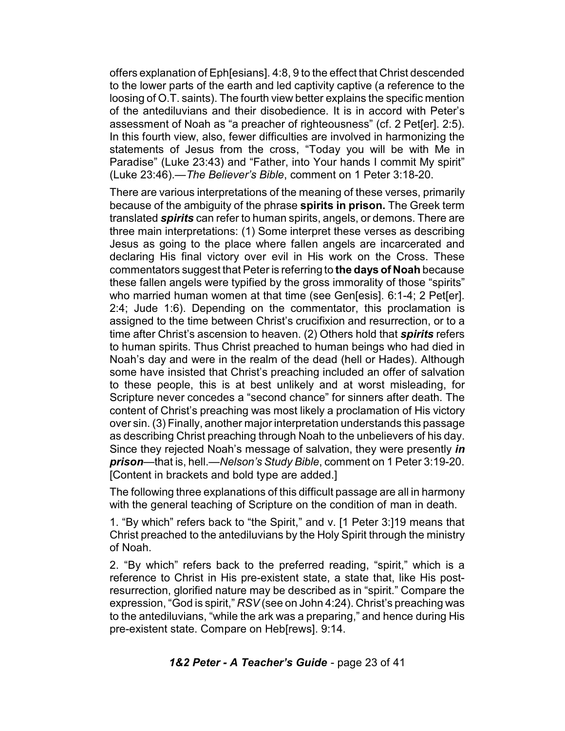offers explanation of Eph[esians]. 4:8, 9 to the effect that Christ descended to the lower parts of the earth and led captivity captive (a reference to the loosing of O.T. saints). The fourth view better explains the specific mention of the antediluvians and their disobedience. It is in accord with Peter's assessment of Noah as "a preacher of righteousness" (cf. 2 Pet[er]. 2:5). In this fourth view, also, fewer difficulties are involved in harmonizing the statements of Jesus from the cross, "Today you will be with Me in Paradise" (Luke 23:43) and "Father, into Your hands I commit My spirit" (Luke 23:46).—*The Believer's Bible*, comment on 1 Peter 3:18-20.

There are various interpretations of the meaning of these verses, primarily because of the ambiguity of the phrase **spirits in prison.** The Greek term translated *spirits* can refer to human spirits, angels, or demons. There are three main interpretations: (1) Some interpret these verses as describing Jesus as going to the place where fallen angels are incarcerated and declaring His final victory over evil in His work on the Cross. These commentators suggest that Peter is referring to **the days of Noah** because these fallen angels were typified by the gross immorality of those "spirits" who married human women at that time (see Gen[esis]. 6:1-4; 2 Pet[er]. 2:4; Jude 1:6). Depending on the commentator, this proclamation is assigned to the time between Christ's crucifixion and resurrection, or to a time after Christ's ascension to heaven. (2) Others hold that *spirits* refers to human spirits. Thus Christ preached to human beings who had died in Noah's day and were in the realm of the dead (hell or Hades). Although some have insisted that Christ's preaching included an offer of salvation to these people, this is at best unlikely and at worst misleading, for Scripture never concedes a "second chance" for sinners after death. The content of Christ's preaching was most likely a proclamation of His victory over sin. (3) Finally, another major interpretation understands this passage as describing Christ preaching through Noah to the unbelievers of his day. Since they rejected Noah's message of salvation, they were presently *in prison*—that is, hell.—*Nelson's Study Bible*, comment on 1 Peter 3:19-20. [Content in brackets and bold type are added.]

The following three explanations of this difficult passage are all in harmony with the general teaching of Scripture on the condition of man in death.

1. "By which" refers back to "the Spirit," and v. [1 Peter 3:]19 means that Christ preached to the antediluvians by the Holy Spirit through the ministry of Noah.

2. "By which" refers back to the preferred reading, "spirit," which is a reference to Christ in His pre-existent state, a state that, like His postresurrection, glorified nature may be described as in "spirit." Compare the expression, "God is spirit," *RSV* (see on John 4:24). Christ's preaching was to the antediluvians, "while the ark was a preparing," and hence during His pre-existent state. Compare on Heb[rews]. 9:14.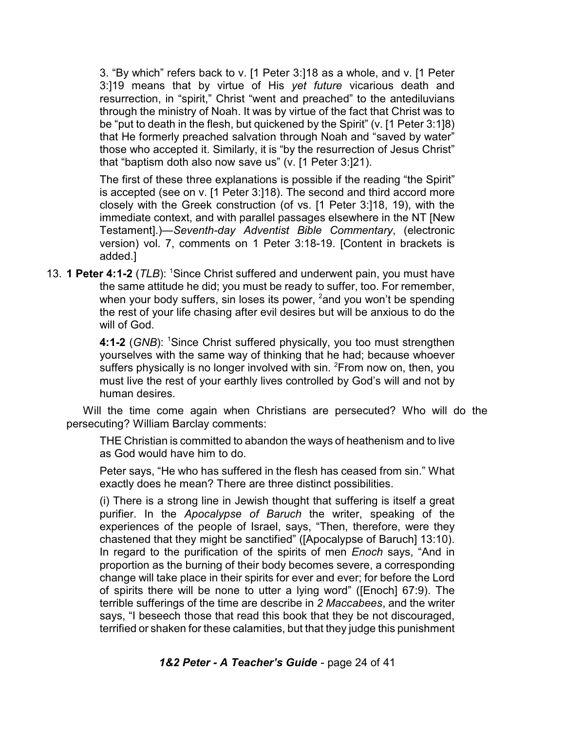3. "By which" refers back to v. [1 Peter 3:]18 as a whole, and v. [1 Peter 3:]19 means that by virtue of His *yet future* vicarious death and resurrection, in "spirit," Christ "went and preached" to the antediluvians through the ministry of Noah. It was by virtue of the fact that Christ was to be "put to death in the flesh, but quickened by the Spirit" (v. [1 Peter 3:1]8) that He formerly preached salvation through Noah and "saved by water" those who accepted it. Similarly, it is "by the resurrection of Jesus Christ" that "baptism doth also now save us" (v. [1 Peter 3:]21).

The first of these three explanations is possible if the reading "the Spirit" is accepted (see on v. [1 Peter 3:]18). The second and third accord more closely with the Greek construction (of vs. [1 Peter 3:]18, 19), with the immediate context, and with parallel passages elsewhere in the NT [New Testament].)—*Seventh-day Adventist Bible Commentary*, (electronic version) vol. 7, comments on 1 Peter 3:18-19. [Content in brackets is added.]

13. **1 Peter 4:1-2** (*TLB*): <sup>1</sup>Since Christ suffered and underwent pain, you must have the same attitude he did; you must be ready to suffer, too. For remember, when your body suffers, sin loses its power,  $^2$ and you won't be spending the rest of your life chasing after evil desires but will be anxious to do the will of God.

> **4:1-2** (*GNB*): <sup>1</sup>Since Christ suffered physically, you too must strengthen yourselves with the same way of thinking that he had; because whoever suffers physically is no longer involved with sin.  ${}^{2}$ From now on, then, you must live the rest of your earthly lives controlled by God's will and not by human desires.

Will the time come again when Christians are persecuted? Who will do the persecuting? William Barclay comments:

THE Christian is committed to abandon the ways of heathenism and to live as God would have him to do.

Peter says, "He who has suffered in the flesh has ceased from sin." What exactly does he mean? There are three distinct possibilities.

(i) There is a strong line in Jewish thought that suffering is itself a great purifier. In the *Apocalypse of Baruch* the writer, speaking of the experiences of the people of Israel, says, "Then, therefore, were they chastened that they might be sanctified" ([Apocalypse of Baruch] 13:10). In regard to the purification of the spirits of men *Enoch* says, "And in proportion as the burning of their body becomes severe, a corresponding change will take place in their spirits for ever and ever; for before the Lord of spirits there will be none to utter a lying word" ([Enoch] 67:9). The terrible sufferings of the time are describe in *2 Maccabees*, and the writer says, "I beseech those that read this book that they be not discouraged, terrified or shaken for these calamities, but that they judge this punishment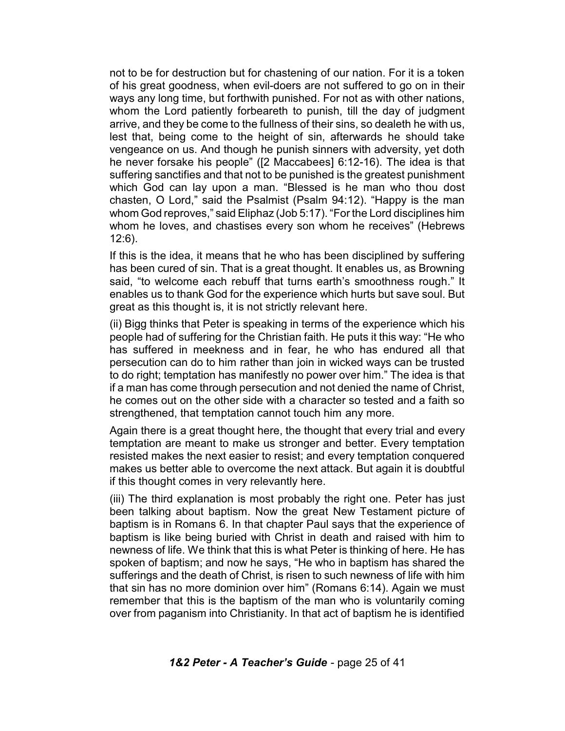not to be for destruction but for chastening of our nation. For it is a token of his great goodness, when evil-doers are not suffered to go on in their ways any long time, but forthwith punished. For not as with other nations, whom the Lord patiently forbeareth to punish, till the day of judgment arrive, and they be come to the fullness of their sins, so dealeth he with us, lest that, being come to the height of sin, afterwards he should take vengeance on us. And though he punish sinners with adversity, yet doth he never forsake his people" ([2 Maccabees] 6:12-16). The idea is that suffering sanctifies and that not to be punished is the greatest punishment which God can lay upon a man. "Blessed is he man who thou dost chasten, O Lord," said the Psalmist (Psalm 94:12). "Happy is the man whom God reproves," said Eliphaz (Job 5:17). "For the Lord disciplines him whom he loves, and chastises every son whom he receives" (Hebrews 12:6).

If this is the idea, it means that he who has been disciplined by suffering has been cured of sin. That is a great thought. It enables us, as Browning said, "to welcome each rebuff that turns earth's smoothness rough." It enables us to thank God for the experience which hurts but save soul. But great as this thought is, it is not strictly relevant here.

(ii) Bigg thinks that Peter is speaking in terms of the experience which his people had of suffering for the Christian faith. He puts it this way: "He who has suffered in meekness and in fear, he who has endured all that persecution can do to him rather than join in wicked ways can be trusted to do right; temptation has manifestly no power over him." The idea is that if a man has come through persecution and not denied the name of Christ, he comes out on the other side with a character so tested and a faith so strengthened, that temptation cannot touch him any more.

Again there is a great thought here, the thought that every trial and every temptation are meant to make us stronger and better. Every temptation resisted makes the next easier to resist; and every temptation conquered makes us better able to overcome the next attack. But again it is doubtful if this thought comes in very relevantly here.

(iii) The third explanation is most probably the right one. Peter has just been talking about baptism. Now the great New Testament picture of baptism is in Romans 6. In that chapter Paul says that the experience of baptism is like being buried with Christ in death and raised with him to newness of life. We think that this is what Peter is thinking of here. He has spoken of baptism; and now he says, "He who in baptism has shared the sufferings and the death of Christ, is risen to such newness of life with him that sin has no more dominion over him" (Romans 6:14). Again we must remember that this is the baptism of the man who is voluntarily coming over from paganism into Christianity. In that act of baptism he is identified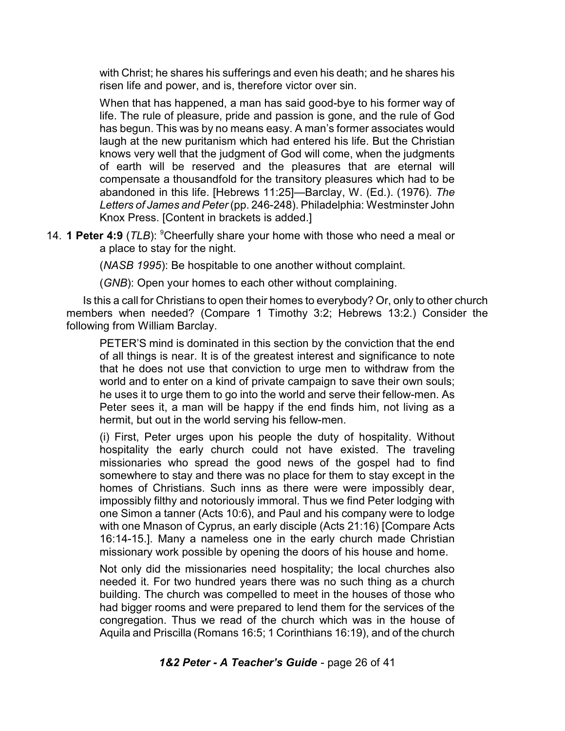with Christ; he shares his sufferings and even his death; and he shares his risen life and power, and is, therefore victor over sin.

When that has happened, a man has said good-bye to his former way of life. The rule of pleasure, pride and passion is gone, and the rule of God has begun. This was by no means easy. A man's former associates would laugh at the new puritanism which had entered his life. But the Christian knows very well that the judgment of God will come, when the judgments of earth will be reserved and the pleasures that are eternal will compensate a thousandfold for the transitory pleasures which had to be abandoned in this life. [Hebrews 11:25]—Barclay, W. (Ed.). (1976). *The Letters of James and Peter* (pp. 246-248). Philadelphia: Westminster John Knox Press. [Content in brackets is added.]

14. **1 Peter 4:9** (*TLB*): <sup>9</sup>Cheerfully share your home with those who need a meal or a place to stay for the night.

(*NASB 1995*): Be hospitable to one another without complaint.

(*GNB*): Open your homes to each other without complaining.

Is this a call for Christians to open their homes to everybody? Or, only to other church members when needed? (Compare 1 Timothy 3:2; Hebrews 13:2.) Consider the following from William Barclay.

PETER'S mind is dominated in this section by the conviction that the end of all things is near. It is of the greatest interest and significance to note that he does not use that conviction to urge men to withdraw from the world and to enter on a kind of private campaign to save their own souls; he uses it to urge them to go into the world and serve their fellow-men. As Peter sees it, a man will be happy if the end finds him, not living as a hermit, but out in the world serving his fellow-men.

(i) First, Peter urges upon his people the duty of hospitality. Without hospitality the early church could not have existed. The traveling missionaries who spread the good news of the gospel had to find somewhere to stay and there was no place for them to stay except in the homes of Christians. Such inns as there were were impossibly dear, impossibly filthy and notoriously immoral. Thus we find Peter lodging with one Simon a tanner (Acts 10:6), and Paul and his company were to lodge with one Mnason of Cyprus, an early disciple (Acts 21:16) [Compare Acts 16:14-15.]. Many a nameless one in the early church made Christian missionary work possible by opening the doors of his house and home.

Not only did the missionaries need hospitality; the local churches also needed it. For two hundred years there was no such thing as a church building. The church was compelled to meet in the houses of those who had bigger rooms and were prepared to lend them for the services of the congregation. Thus we read of the church which was in the house of Aquila and Priscilla (Romans 16:5; 1 Corinthians 16:19), and of the church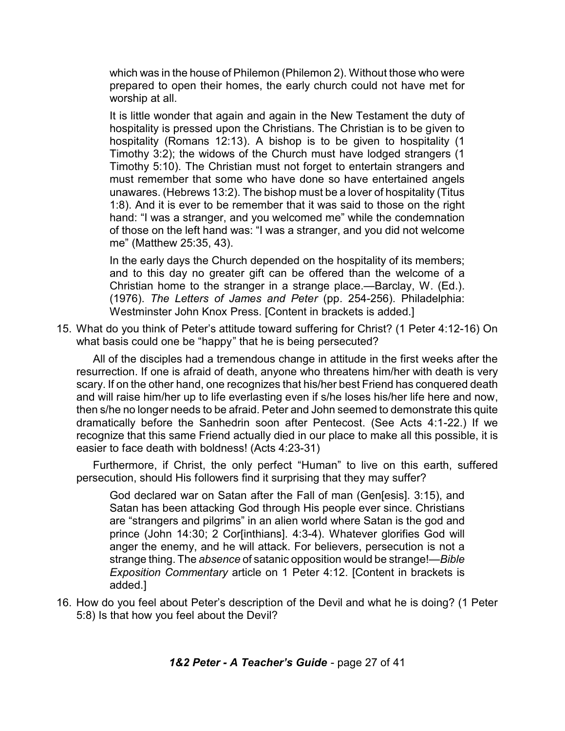which was in the house of Philemon (Philemon 2). Without those who were prepared to open their homes, the early church could not have met for worship at all.

It is little wonder that again and again in the New Testament the duty of hospitality is pressed upon the Christians. The Christian is to be given to hospitality (Romans 12:13). A bishop is to be given to hospitality (1 Timothy 3:2); the widows of the Church must have lodged strangers (1 Timothy 5:10). The Christian must not forget to entertain strangers and must remember that some who have done so have entertained angels unawares. (Hebrews 13:2). The bishop must be a lover of hospitality (Titus 1:8). And it is ever to be remember that it was said to those on the right hand: "I was a stranger, and you welcomed me" while the condemnation of those on the left hand was: "I was a stranger, and you did not welcome me" (Matthew 25:35, 43).

In the early days the Church depended on the hospitality of its members; and to this day no greater gift can be offered than the welcome of a Christian home to the stranger in a strange place.—Barclay, W. (Ed.). (1976). *The Letters of James and Peter* (pp. 254-256). Philadelphia: Westminster John Knox Press. [Content in brackets is added.]

15. What do you think of Peter's attitude toward suffering for Christ? (1 Peter 4:12-16) On what basis could one be "happy" that he is being persecuted?

All of the disciples had a tremendous change in attitude in the first weeks after the resurrection. If one is afraid of death, anyone who threatens him/her with death is very scary. If on the other hand, one recognizes that his/her best Friend has conquered death and will raise him/her up to life everlasting even if s/he loses his/her life here and now, then s/he no longer needs to be afraid. Peter and John seemed to demonstrate this quite dramatically before the Sanhedrin soon after Pentecost. (See Acts 4:1-22.) If we recognize that this same Friend actually died in our place to make all this possible, it is easier to face death with boldness! (Acts 4:23-31)

Furthermore, if Christ, the only perfect "Human" to live on this earth, suffered persecution, should His followers find it surprising that they may suffer?

God declared war on Satan after the Fall of man (Gen[esis]. 3:15), and Satan has been attacking God through His people ever since. Christians are "strangers and pilgrims" in an alien world where Satan is the god and prince (John 14:30; 2 Cor[inthians]. 4:3-4). Whatever glorifies God will anger the enemy, and he will attack. For believers, persecution is not a strange thing. The *absence* of satanic opposition would be strange!—*Bible Exposition Commentary* article on 1 Peter 4:12. [Content in brackets is added.]

16. How do you feel about Peter's description of the Devil and what he is doing? (1 Peter 5:8) Is that how you feel about the Devil?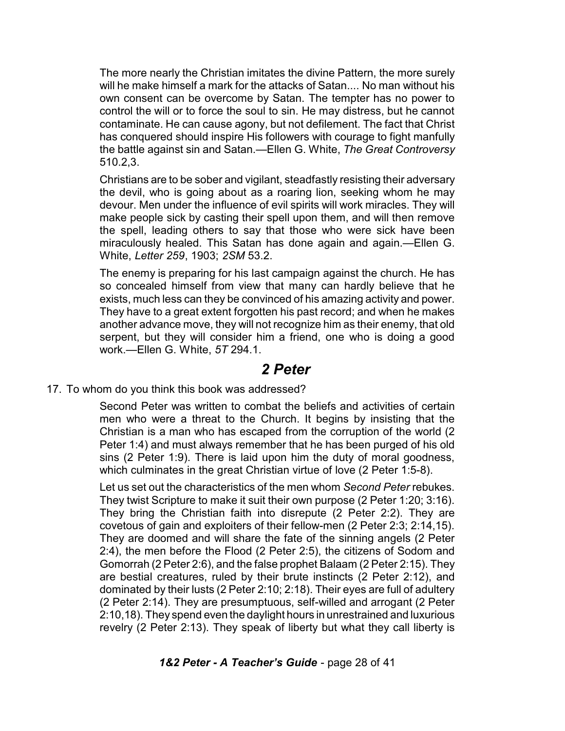The more nearly the Christian imitates the divine Pattern, the more surely will he make himself a mark for the attacks of Satan.... No man without his own consent can be overcome by Satan. The tempter has no power to control the will or to force the soul to sin. He may distress, but he cannot contaminate. He can cause agony, but not defilement. The fact that Christ has conquered should inspire His followers with courage to fight manfully the battle against sin and Satan.—Ellen G. White, *The Great Controversy* 510.2,3.

Christians are to be sober and vigilant, steadfastly resisting their adversary the devil, who is going about as a roaring lion, seeking whom he may devour. Men under the influence of evil spirits will work miracles. They will make people sick by casting their spell upon them, and will then remove the spell, leading others to say that those who were sick have been miraculously healed. This Satan has done again and again.—Ellen G. White, *Letter 259*, 1903; *2SM* 53.2.

The enemy is preparing for his last campaign against the church. He has so concealed himself from view that many can hardly believe that he exists, much less can they be convinced of his amazing activity and power. They have to a great extent forgotten his past record; and when he makes another advance move, they will not recognize him as their enemy, that old serpent, but they will consider him a friend, one who is doing a good work.—Ellen G. White, *5T* 294.1.

# *2 Peter*

17. To whom do you think this book was addressed?

Second Peter was written to combat the beliefs and activities of certain men who were a threat to the Church. It begins by insisting that the Christian is a man who has escaped from the corruption of the world (2 Peter 1:4) and must always remember that he has been purged of his old sins (2 Peter 1:9). There is laid upon him the duty of moral goodness, which culminates in the great Christian virtue of love (2 Peter 1:5-8).

Let us set out the characteristics of the men whom *Second Peter* rebukes. They twist Scripture to make it suit their own purpose (2 Peter 1:20; 3:16). They bring the Christian faith into disrepute (2 Peter 2:2). They are covetous of gain and exploiters of their fellow-men (2 Peter 2:3; 2:14,15). They are doomed and will share the fate of the sinning angels (2 Peter 2:4), the men before the Flood (2 Peter 2:5), the citizens of Sodom and Gomorrah (2 Peter 2:6), and the false prophet Balaam (2 Peter 2:15). They are bestial creatures, ruled by their brute instincts (2 Peter 2:12), and dominated by their lusts (2 Peter 2:10; 2:18). Their eyes are full of adultery (2 Peter 2:14). They are presumptuous, self-willed and arrogant (2 Peter 2:10,18). They spend even the daylight hours in unrestrained and luxurious revelry (2 Peter 2:13). They speak of liberty but what they call liberty is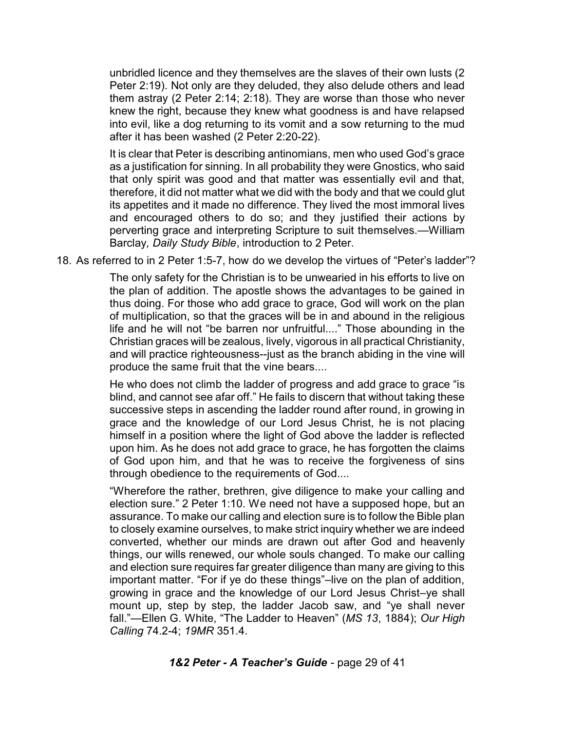unbridled licence and they themselves are the slaves of their own lusts (2 Peter 2:19). Not only are they deluded, they also delude others and lead them astray (2 Peter 2:14; 2:18). They are worse than those who never knew the right, because they knew what goodness is and have relapsed into evil, like a dog returning to its vomit and a sow returning to the mud after it has been washed (2 Peter 2:20-22).

It is clear that Peter is describing antinomians, men who used God's grace as a justification for sinning. In all probability they were Gnostics, who said that only spirit was good and that matter was essentially evil and that, therefore, it did not matter what we did with the body and that we could glut its appetites and it made no difference. They lived the most immoral lives and encouraged others to do so; and they justified their actions by perverting grace and interpreting Scripture to suit themselves.—William Barclay*, Daily Study Bible*, introduction to 2 Peter.

18. As referred to in 2 Peter 1:5-7, how do we develop the virtues of "Peter's ladder"?

The only safety for the Christian is to be unwearied in his efforts to live on the plan of addition. The apostle shows the advantages to be gained in thus doing. For those who add grace to grace, God will work on the plan of multiplication, so that the graces will be in and abound in the religious life and he will not "be barren nor unfruitful...." Those abounding in the Christian graces will be zealous, lively, vigorous in all practical Christianity, and will practice righteousness--just as the branch abiding in the vine will produce the same fruit that the vine bears....

He who does not climb the ladder of progress and add grace to grace "is blind, and cannot see afar off." He fails to discern that without taking these successive steps in ascending the ladder round after round, in growing in grace and the knowledge of our Lord Jesus Christ, he is not placing himself in a position where the light of God above the ladder is reflected upon him. As he does not add grace to grace, he has forgotten the claims of God upon him, and that he was to receive the forgiveness of sins through obedience to the requirements of God....

"Wherefore the rather, brethren, give diligence to make your calling and election sure." 2 Peter 1:10. We need not have a supposed hope, but an assurance. To make our calling and election sure is to follow the Bible plan to closely examine ourselves, to make strict inquiry whether we are indeed converted, whether our minds are drawn out after God and heavenly things, our wills renewed, our whole souls changed. To make our calling and election sure requires far greater diligence than many are giving to this important matter. "For if ye do these things"–live on the plan of addition, growing in grace and the knowledge of our Lord Jesus Christ–ye shall mount up, step by step, the ladder Jacob saw, and "ye shall never fall."—Ellen G. White, "The Ladder to Heaven" (*MS 13*, 1884); *Our High Calling* 74.2-4; *19MR* 351.4.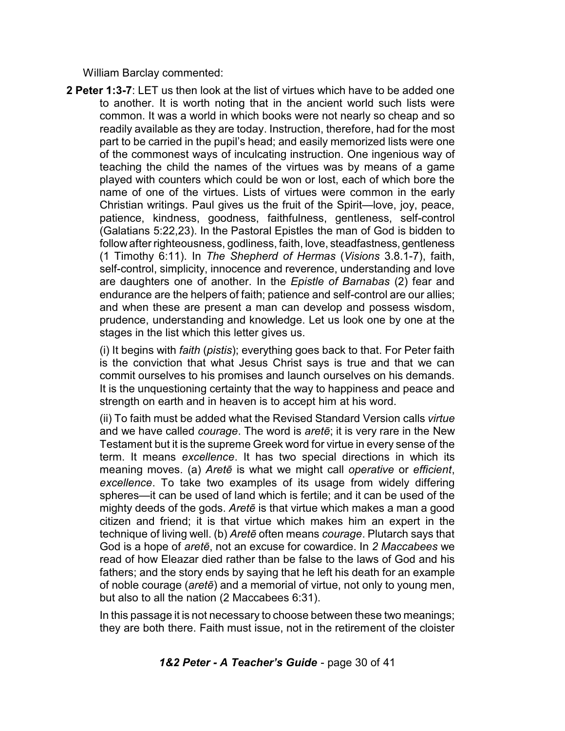William Barclay commented:

**2 Peter 1:3-7**: LET us then look at the list of virtues which have to be added one to another. It is worth noting that in the ancient world such lists were common. It was a world in which books were not nearly so cheap and so readily available as they are today. Instruction, therefore, had for the most part to be carried in the pupil's head; and easily memorized lists were one of the commonest ways of inculcating instruction. One ingenious way of teaching the child the names of the virtues was by means of a game played with counters which could be won or lost, each of which bore the name of one of the virtues. Lists of virtues were common in the early Christian writings. Paul gives us the fruit of the Spirit—love, joy, peace, patience, kindness, goodness, faithfulness, gentleness, self-control (Galatians 5:22,23). In the Pastoral Epistles the man of God is bidden to follow after righteousness, godliness, faith, love, steadfastness, gentleness (1 Timothy 6:11). In *The Shepherd of Hermas* (*Visions* 3.8.1-7), faith, self-control, simplicity, innocence and reverence, understanding and love are daughters one of another. In the *Epistle of Barnabas* (2) fear and endurance are the helpers of faith; patience and self-control are our allies; and when these are present a man can develop and possess wisdom, prudence, understanding and knowledge. Let us look one by one at the stages in the list which this letter gives us.

(i) It begins with *faith* (*pistis*); everything goes back to that. For Peter faith is the conviction that what Jesus Christ says is true and that we can commit ourselves to his promises and launch ourselves on his demands. It is the unquestioning certainty that the way to happiness and peace and strength on earth and in heaven is to accept him at his word.

(ii) To faith must be added what the Revised Standard Version calls *virtue* and we have called *courage*. The word is *aretç*; it is very rare in the New Testament but it is the supreme Greek word for virtue in every sense of the term. It means *excellence*. It has two special directions in which its meaning moves. (a) *Aretç* is what we might call *operative* or *efficient*, *excellence*. To take two examples of its usage from widely differing spheres—it can be used of land which is fertile; and it can be used of the mighty deeds of the gods. *Aretç* is that virtue which makes a man a good citizen and friend; it is that virtue which makes him an expert in the technique of living well. (b) *Aretç* often means *courage*. Plutarch says that God is a hope of *aretç*, not an excuse for cowardice. In *2 Maccabees* we read of how Eleazar died rather than be false to the laws of God and his fathers; and the story ends by saying that he left his death for an example of noble courage (*aretç*) and a memorial of virtue, not only to young men, but also to all the nation (2 Maccabees 6:31).

In this passage it is not necessary to choose between these two meanings; they are both there. Faith must issue, not in the retirement of the cloister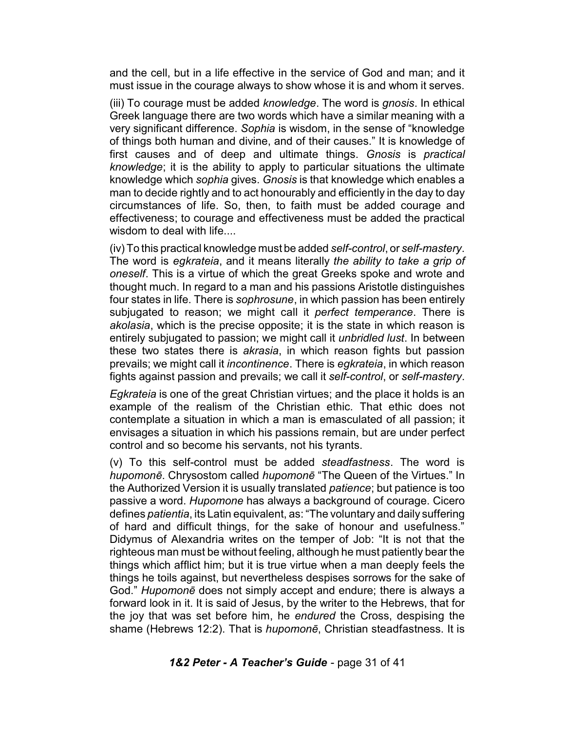and the cell, but in a life effective in the service of God and man; and it must issue in the courage always to show whose it is and whom it serves.

(iii) To courage must be added *knowledge*. The word is *gnosis*. In ethical Greek language there are two words which have a similar meaning with a very significant difference. *Sophia* is wisdom, in the sense of "knowledge of things both human and divine, and of their causes." It is knowledge of first causes and of deep and ultimate things. *Gnosis* is *practical knowledge*; it is the ability to apply to particular situations the ultimate knowledge which *sophia* gives. *Gnosis* is that knowledge which enables a man to decide rightly and to act honourably and efficiently in the day to day circumstances of life. So, then, to faith must be added courage and effectiveness; to courage and effectiveness must be added the practical wisdom to deal with life....

(iv) To this practical knowledge must be added *self-control*, or *self-mastery*. The word is *egkrateia*, and it means literally *the ability to take a grip of oneself*. This is a virtue of which the great Greeks spoke and wrote and thought much. In regard to a man and his passions Aristotle distinguishes four states in life. There is *sophrosune*, in which passion has been entirely subjugated to reason; we might call it *perfect temperance*. There is *akolasia*, which is the precise opposite; it is the state in which reason is entirely subjugated to passion; we might call it *unbridled lust*. In between these two states there is *akrasia*, in which reason fights but passion prevails; we might call it *incontinence*. There is *egkrateia*, in which reason fights against passion and prevails; we call it *self-control*, or *self-mastery*.

*Egkrateia* is one of the great Christian virtues; and the place it holds is an example of the realism of the Christian ethic. That ethic does not contemplate a situation in which a man is emasculated of all passion; it envisages a situation in which his passions remain, but are under perfect control and so become his servants, not his tyrants.

(v) To this self-control must be added *steadfastness*. The word is *hupomonç*. Chrysostom called *hupomonç* "The Queen of the Virtues." In the Authorized Version it is usually translated *patience*; but patience is too passive a word. *Hupomone* has always a background of courage. Cicero defines *patientia*, its Latin equivalent, as: "The voluntary and daily suffering of hard and difficult things, for the sake of honour and usefulness." Didymus of Alexandria writes on the temper of Job: "It is not that the righteous man must be without feeling, although he must patiently bear the things which afflict him; but it is true virtue when a man deeply feels the things he toils against, but nevertheless despises sorrows for the sake of God." *Hupomonç* does not simply accept and endure; there is always a forward look in it. It is said of Jesus, by the writer to the Hebrews, that for the joy that was set before him, he *endured* the Cross, despising the shame (Hebrews 12:2). That is *hupomonç*, Christian steadfastness. It is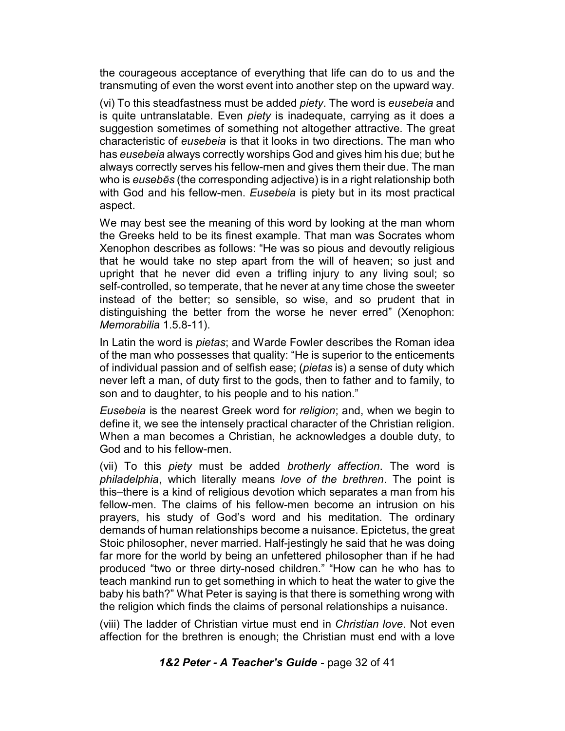the courageous acceptance of everything that life can do to us and the transmuting of even the worst event into another step on the upward way.

(vi) To this steadfastness must be added *piety*. The word is *eusebeia* and is quite untranslatable. Even *piety* is inadequate, carrying as it does a suggestion sometimes of something not altogether attractive. The great characteristic of *eusebeia* is that it looks in two directions. The man who has *eusebeia* always correctly worships God and gives him his due; but he always correctly serves his fellow-men and gives them their due. The man who is *eusebçs* (the corresponding adjective) is in a right relationship both with God and his fellow-men. *Eusebeia* is piety but in its most practical aspect.

We may best see the meaning of this word by looking at the man whom the Greeks held to be its finest example. That man was Socrates whom Xenophon describes as follows: "He was so pious and devoutly religious that he would take no step apart from the will of heaven; so just and upright that he never did even a trifling injury to any living soul; so self-controlled, so temperate, that he never at any time chose the sweeter instead of the better; so sensible, so wise, and so prudent that in distinguishing the better from the worse he never erred" (Xenophon: *Memorabilia* 1.5.8-11).

In Latin the word is *pietas*; and Warde Fowler describes the Roman idea of the man who possesses that quality: "He is superior to the enticements of individual passion and of selfish ease; (*pietas* is) a sense of duty which never left a man, of duty first to the gods, then to father and to family, to son and to daughter, to his people and to his nation."

*Eusebeia* is the nearest Greek word for *religion*; and, when we begin to define it, we see the intensely practical character of the Christian religion. When a man becomes a Christian, he acknowledges a double duty, to God and to his fellow-men.

(vii) To this *piety* must be added *brotherly affection*. The word is *philadelphia*, which literally means *love of the brethren*. The point is this–there is a kind of religious devotion which separates a man from his fellow-men. The claims of his fellow-men become an intrusion on his prayers, his study of God's word and his meditation. The ordinary demands of human relationships become a nuisance. Epictetus, the great Stoic philosopher, never married. Half-jestingly he said that he was doing far more for the world by being an unfettered philosopher than if he had produced "two or three dirty-nosed children." "How can he who has to teach mankind run to get something in which to heat the water to give the baby his bath?" What Peter is saying is that there is something wrong with the religion which finds the claims of personal relationships a nuisance.

(viii) The ladder of Christian virtue must end in *Christian love*. Not even affection for the brethren is enough; the Christian must end with a love

*1&2 Peter - A Teacher's Guide* - page 32 of 41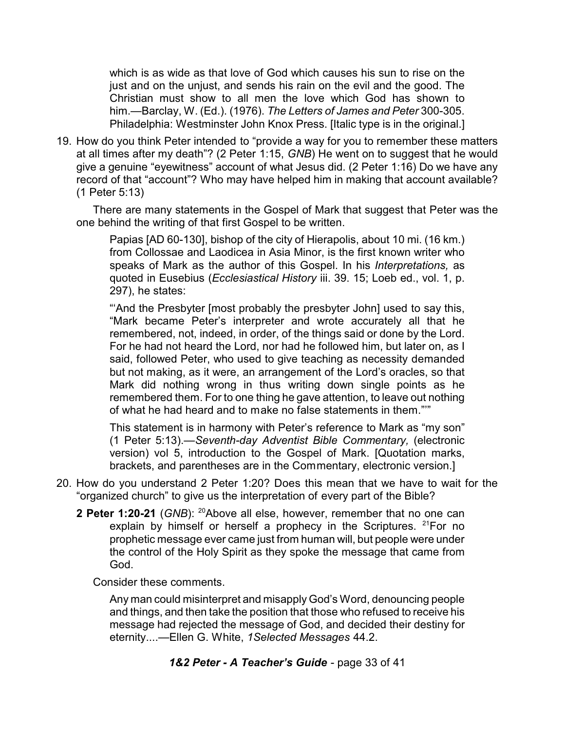which is as wide as that love of God which causes his sun to rise on the just and on the unjust, and sends his rain on the evil and the good. The Christian must show to all men the love which God has shown to him.—Barclay, W. (Ed.). (1976). *The Letters of James and Peter* 300-305. Philadelphia: Westminster John Knox Press. [Italic type is in the original.]

19. How do you think Peter intended to "provide a way for you to remember these matters at all times after my death"? (2 Peter 1:15, *GNB*) He went on to suggest that he would give a genuine "eyewitness" account of what Jesus did. (2 Peter 1:16) Do we have any record of that "account"? Who may have helped him in making that account available? (1 Peter 5:13)

There are many statements in the Gospel of Mark that suggest that Peter was the one behind the writing of that first Gospel to be written.

Papias [AD 60-130], bishop of the city of Hierapolis, about 10 mi. (16 km.) from Collossae and Laodicea in Asia Minor, is the first known writer who speaks of Mark as the author of this Gospel. In his *Interpretations,* as quoted in Eusebius (*Ecclesiastical History* iii. 39. 15; Loeb ed., vol. 1, p. 297), he states:

"'And the Presbyter [most probably the presbyter John] used to say this, "Mark became Peter's interpreter and wrote accurately all that he remembered, not, indeed, in order, of the things said or done by the Lord. For he had not heard the Lord, nor had he followed him, but later on, as I said, followed Peter, who used to give teaching as necessity demanded but not making, as it were, an arrangement of the Lord's oracles, so that Mark did nothing wrong in thus writing down single points as he remembered them. For to one thing he gave attention, to leave out nothing of what he had heard and to make no false statements in them."'"

This statement is in harmony with Peter's reference to Mark as "my son" (1 Peter 5:13).—*Seventh-day Adventist Bible Commentary,* (electronic version) vol 5, introduction to the Gospel of Mark. [Quotation marks, brackets, and parentheses are in the Commentary, electronic version.]

- 20. How do you understand 2 Peter 1:20? Does this mean that we have to wait for the "organized church" to give us the interpretation of every part of the Bible?
	- **2 Peter 1:20-21** (*GNB*): <sup>20</sup>Above all else, however, remember that no one can explain by himself or herself a prophecy in the Scriptures.  $21$ For no prophetic message ever came just from human will, but people were under the control of the Holy Spirit as they spoke the message that came from God.

Consider these comments.

Any man could misinterpret and misapply God's Word, denouncing people and things, and then take the position that those who refused to receive his message had rejected the message of God, and decided their destiny for eternity....—Ellen G. White, *1Selected Messages* 44.2.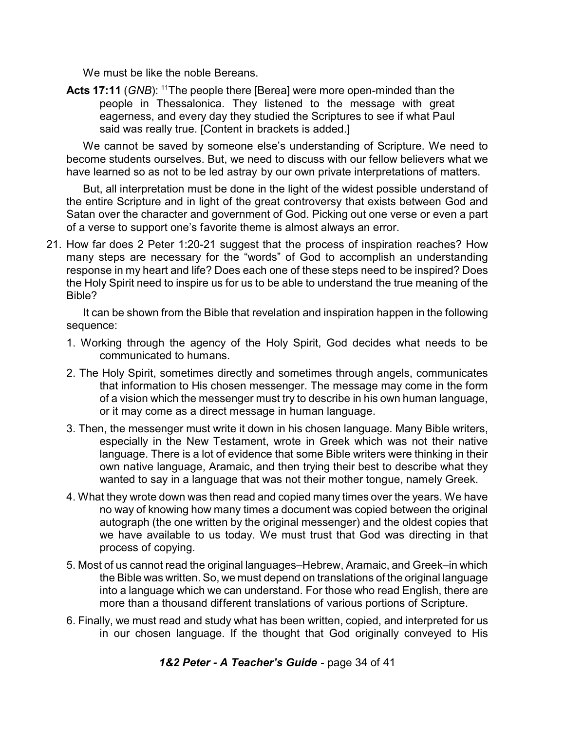We must be like the noble Bereans.

**Acts 17:11** (*GNB*): <sup>11</sup>The people there [Berea] were more open-minded than the people in Thessalonica. They listened to the message with great eagerness, and every day they studied the Scriptures to see if what Paul said was really true. [Content in brackets is added.]

We cannot be saved by someone else's understanding of Scripture. We need to become students ourselves. But, we need to discuss with our fellow believers what we have learned so as not to be led astray by our own private interpretations of matters.

But, all interpretation must be done in the light of the widest possible understand of the entire Scripture and in light of the great controversy that exists between God and Satan over the character and government of God. Picking out one verse or even a part of a verse to support one's favorite theme is almost always an error.

21. How far does 2 Peter 1:20-21 suggest that the process of inspiration reaches? How many steps are necessary for the "words" of God to accomplish an understanding response in my heart and life? Does each one of these steps need to be inspired? Does the Holy Spirit need to inspire us for us to be able to understand the true meaning of the Bible?

It can be shown from the Bible that revelation and inspiration happen in the following sequence:

- 1. Working through the agency of the Holy Spirit, God decides what needs to be communicated to humans.
- 2. The Holy Spirit, sometimes directly and sometimes through angels, communicates that information to His chosen messenger. The message may come in the form of a vision which the messenger must try to describe in his own human language, or it may come as a direct message in human language.
- 3. Then, the messenger must write it down in his chosen language. Many Bible writers, especially in the New Testament, wrote in Greek which was not their native language. There is a lot of evidence that some Bible writers were thinking in their own native language, Aramaic, and then trying their best to describe what they wanted to say in a language that was not their mother tongue, namely Greek.
- 4. What they wrote down was then read and copied many times over the years. We have no way of knowing how many times a document was copied between the original autograph (the one written by the original messenger) and the oldest copies that we have available to us today. We must trust that God was directing in that process of copying.
- 5. Most of us cannot read the original languages–Hebrew, Aramaic, and Greek–in which the Bible was written. So, we must depend on translations of the original language into a language which we can understand. For those who read English, there are more than a thousand different translations of various portions of Scripture.
- 6. Finally, we must read and study what has been written, copied, and interpreted for us in our chosen language. If the thought that God originally conveyed to His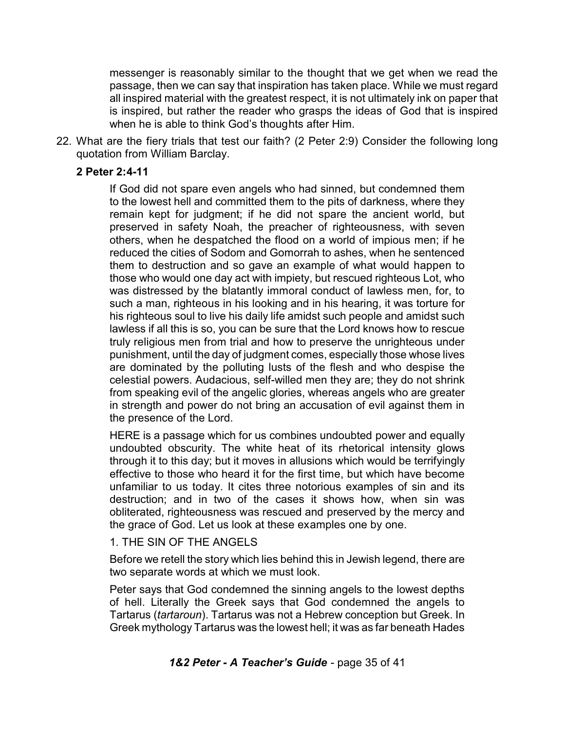messenger is reasonably similar to the thought that we get when we read the passage, then we can say that inspiration has taken place. While we must regard all inspired material with the greatest respect, it is not ultimately ink on paper that is inspired, but rather the reader who grasps the ideas of God that is inspired when he is able to think God's thoughts after Him.

22. What are the fiery trials that test our faith? (2 Peter 2:9) Consider the following long quotation from William Barclay.

## **2 Peter 2:4-11**

If God did not spare even angels who had sinned, but condemned them to the lowest hell and committed them to the pits of darkness, where they remain kept for judgment; if he did not spare the ancient world, but preserved in safety Noah, the preacher of righteousness, with seven others, when he despatched the flood on a world of impious men; if he reduced the cities of Sodom and Gomorrah to ashes, when he sentenced them to destruction and so gave an example of what would happen to those who would one day act with impiety, but rescued righteous Lot, who was distressed by the blatantly immoral conduct of lawless men, for, to such a man, righteous in his looking and in his hearing, it was torture for his righteous soul to live his daily life amidst such people and amidst such lawless if all this is so, you can be sure that the Lord knows how to rescue truly religious men from trial and how to preserve the unrighteous under punishment, until the day of judgment comes, especially those whose lives are dominated by the polluting lusts of the flesh and who despise the celestial powers. Audacious, self-willed men they are; they do not shrink from speaking evil of the angelic glories, whereas angels who are greater in strength and power do not bring an accusation of evil against them in the presence of the Lord.

HERE is a passage which for us combines undoubted power and equally undoubted obscurity. The white heat of its rhetorical intensity glows through it to this day; but it moves in allusions which would be terrifyingly effective to those who heard it for the first time, but which have become unfamiliar to us today. It cites three notorious examples of sin and its destruction; and in two of the cases it shows how, when sin was obliterated, righteousness was rescued and preserved by the mercy and the grace of God. Let us look at these examples one by one.

#### 1. THE SIN OF THE ANGELS

Before we retell the story which lies behind this in Jewish legend, there are two separate words at which we must look.

Peter says that God condemned the sinning angels to the lowest depths of hell. Literally the Greek says that God condemned the angels to Tartarus (*tartaroun*). Tartarus was not a Hebrew conception but Greek. In Greek mythology Tartarus was the lowest hell; it was as far beneath Hades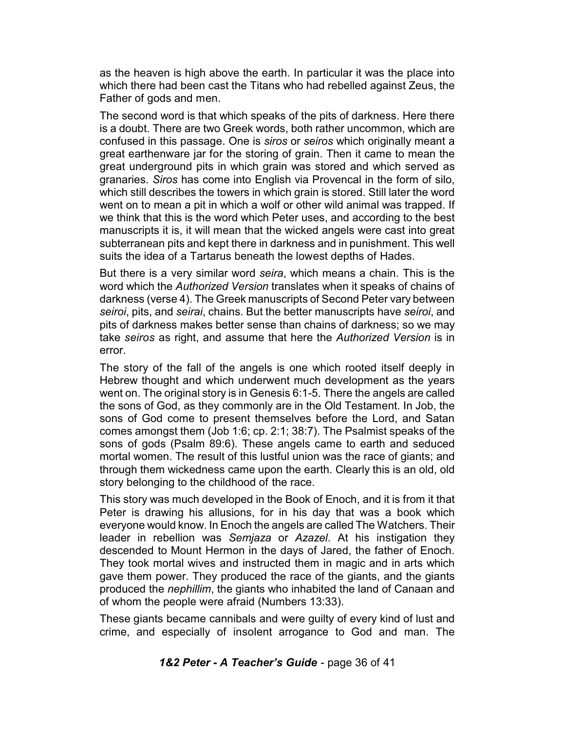as the heaven is high above the earth. In particular it was the place into which there had been cast the Titans who had rebelled against Zeus, the Father of gods and men.

The second word is that which speaks of the pits of darkness. Here there is a doubt. There are two Greek words, both rather uncommon, which are confused in this passage. One is *siros* or *seiros* which originally meant a great earthenware jar for the storing of grain. Then it came to mean the great underground pits in which grain was stored and which served as granaries. *Siros* has come into English via Provencal in the form of silo, which still describes the towers in which grain is stored. Still later the word went on to mean a pit in which a wolf or other wild animal was trapped. If we think that this is the word which Peter uses, and according to the best manuscripts it is, it will mean that the wicked angels were cast into great subterranean pits and kept there in darkness and in punishment. This well suits the idea of a Tartarus beneath the lowest depths of Hades.

But there is a very similar word *seira*, which means a chain. This is the word which the *Authorized Version* translates when it speaks of chains of darkness (verse 4). The Greek manuscripts of Second Peter vary between *seiroi*, pits, and *seirai*, chains. But the better manuscripts have *seiroi*, and pits of darkness makes better sense than chains of darkness; so we may take *seiros* as right, and assume that here the *Authorized Version* is in error.

The story of the fall of the angels is one which rooted itself deeply in Hebrew thought and which underwent much development as the years went on. The original story is in Genesis 6:1-5. There the angels are called the sons of God, as they commonly are in the Old Testament. In Job, the sons of God come to present themselves before the Lord, and Satan comes amongst them (Job 1:6; cp. 2:1; 38:7). The Psalmist speaks of the sons of gods (Psalm 89:6). These angels came to earth and seduced mortal women. The result of this lustful union was the race of giants; and through them wickedness came upon the earth. Clearly this is an old, old story belonging to the childhood of the race.

This story was much developed in the Book of Enoch, and it is from it that Peter is drawing his allusions, for in his day that was a book which everyone would know. In Enoch the angels are called The Watchers. Their leader in rebellion was *Semjaza* or *Azazel*. At his instigation they descended to Mount Hermon in the days of Jared, the father of Enoch. They took mortal wives and instructed them in magic and in arts which gave them power. They produced the race of the giants, and the giants produced the *nephillim*, the giants who inhabited the land of Canaan and of whom the people were afraid (Numbers 13:33).

These giants became cannibals and were guilty of every kind of lust and crime, and especially of insolent arrogance to God and man. The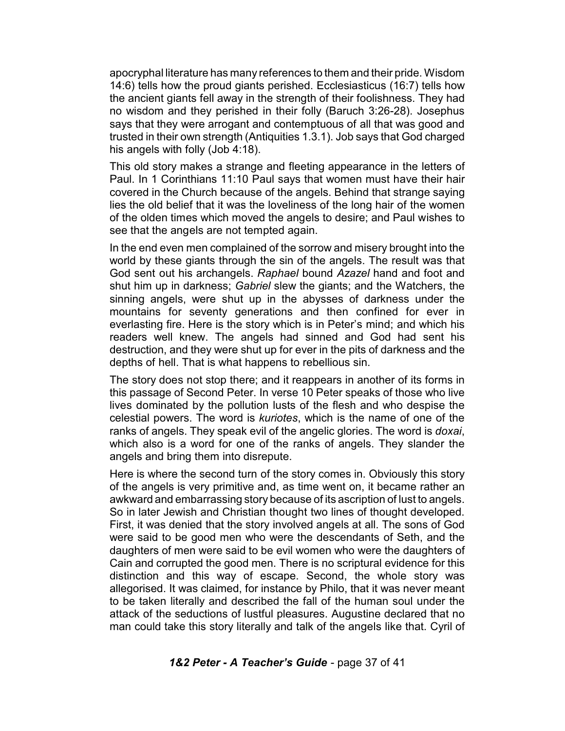apocryphal literature has many references to them and their pride. Wisdom 14:6) tells how the proud giants perished. Ecclesiasticus (16:7) tells how the ancient giants fell away in the strength of their foolishness. They had no wisdom and they perished in their folly (Baruch 3:26-28). Josephus says that they were arrogant and contemptuous of all that was good and trusted in their own strength (Antiquities 1.3.1). Job says that God charged his angels with folly (Job 4:18).

This old story makes a strange and fleeting appearance in the letters of Paul. In 1 Corinthians 11:10 Paul says that women must have their hair covered in the Church because of the angels. Behind that strange saying lies the old belief that it was the loveliness of the long hair of the women of the olden times which moved the angels to desire; and Paul wishes to see that the angels are not tempted again.

In the end even men complained of the sorrow and misery brought into the world by these giants through the sin of the angels. The result was that God sent out his archangels. *Raphael* bound *Azazel* hand and foot and shut him up in darkness; *Gabriel* slew the giants; and the Watchers, the sinning angels, were shut up in the abysses of darkness under the mountains for seventy generations and then confined for ever in everlasting fire. Here is the story which is in Peter's mind; and which his readers well knew. The angels had sinned and God had sent his destruction, and they were shut up for ever in the pits of darkness and the depths of hell. That is what happens to rebellious sin.

The story does not stop there; and it reappears in another of its forms in this passage of Second Peter. In verse 10 Peter speaks of those who live lives dominated by the pollution lusts of the flesh and who despise the celestial powers. The word is *kuriotes*, which is the name of one of the ranks of angels. They speak evil of the angelic glories. The word is *doxai*, which also is a word for one of the ranks of angels. They slander the angels and bring them into disrepute.

Here is where the second turn of the story comes in. Obviously this story of the angels is very primitive and, as time went on, it became rather an awkward and embarrassing story because of its ascription of lust to angels. So in later Jewish and Christian thought two lines of thought developed. First, it was denied that the story involved angels at all. The sons of God were said to be good men who were the descendants of Seth, and the daughters of men were said to be evil women who were the daughters of Cain and corrupted the good men. There is no scriptural evidence for this distinction and this way of escape. Second, the whole story was allegorised. It was claimed, for instance by Philo, that it was never meant to be taken literally and described the fall of the human soul under the attack of the seductions of lustful pleasures. Augustine declared that no man could take this story literally and talk of the angels like that. Cyril of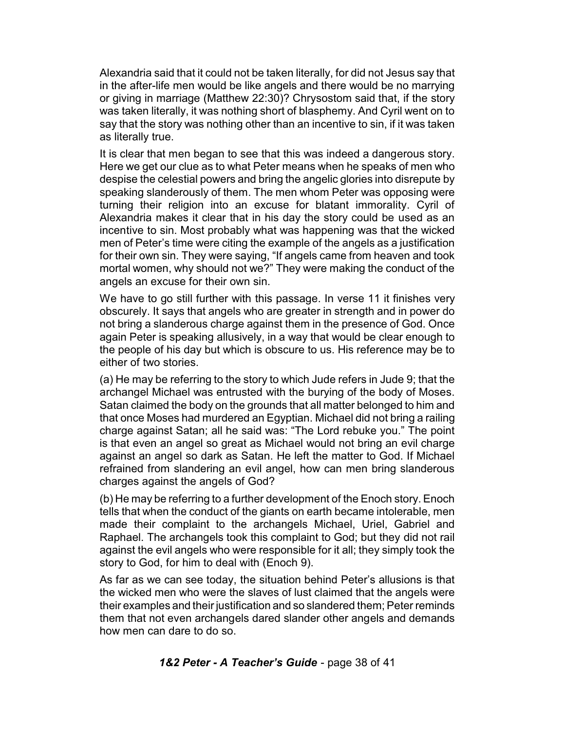Alexandria said that it could not be taken literally, for did not Jesus say that in the after-life men would be like angels and there would be no marrying or giving in marriage (Matthew 22:30)? Chrysostom said that, if the story was taken literally, it was nothing short of blasphemy. And Cyril went on to say that the story was nothing other than an incentive to sin, if it was taken as literally true.

It is clear that men began to see that this was indeed a dangerous story. Here we get our clue as to what Peter means when he speaks of men who despise the celestial powers and bring the angelic glories into disrepute by speaking slanderously of them. The men whom Peter was opposing were turning their religion into an excuse for blatant immorality. Cyril of Alexandria makes it clear that in his day the story could be used as an incentive to sin. Most probably what was happening was that the wicked men of Peter's time were citing the example of the angels as a justification for their own sin. They were saying, "If angels came from heaven and took mortal women, why should not we?" They were making the conduct of the angels an excuse for their own sin.

We have to go still further with this passage. In verse 11 it finishes very obscurely. It says that angels who are greater in strength and in power do not bring a slanderous charge against them in the presence of God. Once again Peter is speaking allusively, in a way that would be clear enough to the people of his day but which is obscure to us. His reference may be to either of two stories.

(a) He may be referring to the story to which Jude refers in Jude 9; that the archangel Michael was entrusted with the burying of the body of Moses. Satan claimed the body on the grounds that all matter belonged to him and that once Moses had murdered an Egyptian. Michael did not bring a railing charge against Satan; all he said was: "The Lord rebuke you." The point is that even an angel so great as Michael would not bring an evil charge against an angel so dark as Satan. He left the matter to God. If Michael refrained from slandering an evil angel, how can men bring slanderous charges against the angels of God?

(b) He may be referring to a further development of the Enoch story. Enoch tells that when the conduct of the giants on earth became intolerable, men made their complaint to the archangels Michael, Uriel, Gabriel and Raphael. The archangels took this complaint to God; but they did not rail against the evil angels who were responsible for it all; they simply took the story to God, for him to deal with (Enoch 9).

As far as we can see today, the situation behind Peter's allusions is that the wicked men who were the slaves of lust claimed that the angels were their examples and their justification and so slandered them; Peter reminds them that not even archangels dared slander other angels and demands how men can dare to do so.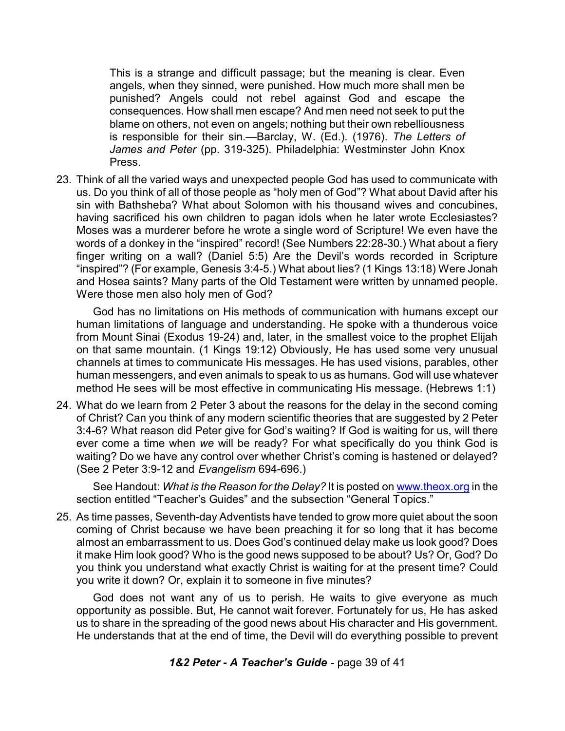This is a strange and difficult passage; but the meaning is clear. Even angels, when they sinned, were punished. How much more shall men be punished? Angels could not rebel against God and escape the consequences. How shall men escape? And men need not seek to put the blame on others, not even on angels; nothing but their own rebelliousness is responsible for their sin.—Barclay, W. (Ed.). (1976). *The Letters of James and Peter* (pp. 319-325). Philadelphia: Westminster John Knox Press.

23. Think of all the varied ways and unexpected people God has used to communicate with us. Do you think of all of those people as "holy men of God"? What about David after his sin with Bathsheba? What about Solomon with his thousand wives and concubines, having sacrificed his own children to pagan idols when he later wrote Ecclesiastes? Moses was a murderer before he wrote a single word of Scripture! We even have the words of a donkey in the "inspired" record! (See Numbers 22:28-30.) What about a fiery finger writing on a wall? (Daniel 5:5) Are the Devil's words recorded in Scripture "inspired"? (For example, Genesis 3:4-5.) What about lies? (1 Kings 13:18) Were Jonah and Hosea saints? Many parts of the Old Testament were written by unnamed people. Were those men also holy men of God?

God has no limitations on His methods of communication with humans except our human limitations of language and understanding. He spoke with a thunderous voice from Mount Sinai (Exodus 19-24) and, later, in the smallest voice to the prophet Elijah on that same mountain. (1 Kings 19:12) Obviously, He has used some very unusual channels at times to communicate His messages. He has used visions, parables, other human messengers, and even animals to speak to us as humans. God will use whatever method He sees will be most effective in communicating His message. (Hebrews 1:1)

24. What do we learn from 2 Peter 3 about the reasons for the delay in the second coming of Christ? Can you think of any modern scientific theories that are suggested by 2 Peter 3:4-6? What reason did Peter give for God's waiting? If God is waiting for us, will there ever come a time when *we* will be ready? For what specifically do you think God is waiting? Do we have any control over whether Christ's coming is hastened or delayed? (See 2 Peter 3:9-12 and *Evangelism* 694-696.)

See Handout: *What is the Reason for the Delay?* It is posted on [www.theox.org](http://www.theox.org) in the section entitled "Teacher's Guides" and the subsection "General Topics."

25. As time passes, Seventh-day Adventists have tended to grow more quiet about the soon coming of Christ because we have been preaching it for so long that it has become almost an embarrassment to us. Does God's continued delay make us look good? Does it make Him look good? Who is the good news supposed to be about? Us? Or, God? Do you think you understand what exactly Christ is waiting for at the present time? Could you write it down? Or, explain it to someone in five minutes?

God does not want any of us to perish. He waits to give everyone as much opportunity as possible. But, He cannot wait forever. Fortunately for us, He has asked us to share in the spreading of the good news about His character and His government. He understands that at the end of time, the Devil will do everything possible to prevent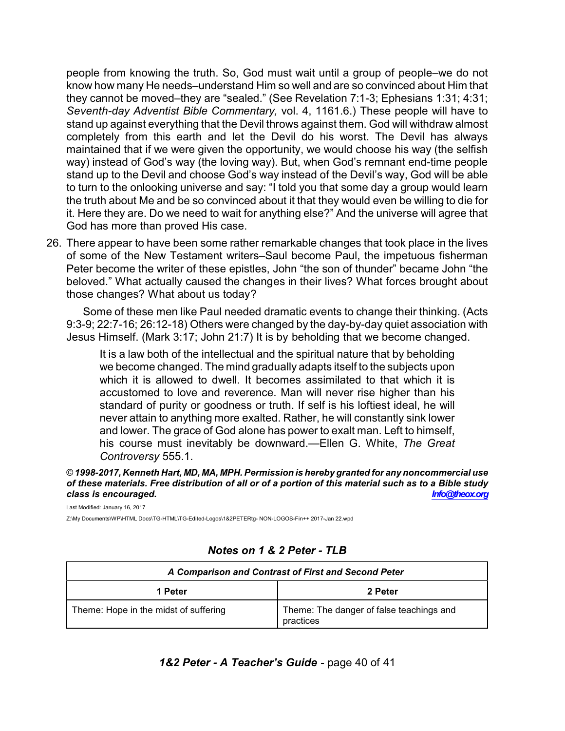people from knowing the truth. So, God must wait until a group of people–we do not know how many He needs–understand Him so well and are so convinced about Him that they cannot be moved–they are "sealed." (See Revelation 7:1-3; Ephesians 1:31; 4:31; *Seventh-day Adventist Bible Commentary,* vol. 4, 1161.6.) These people will have to stand up against everything that the Devil throws against them. God will withdraw almost completely from this earth and let the Devil do his worst. The Devil has always maintained that if we were given the opportunity, we would choose his way (the selfish way) instead of God's way (the loving way). But, when God's remnant end-time people stand up to the Devil and choose God's way instead of the Devil's way, God will be able to turn to the onlooking universe and say: "I told you that some day a group would learn the truth about Me and be so convinced about it that they would even be willing to die for it. Here they are. Do we need to wait for anything else?" And the universe will agree that God has more than proved His case.

26. There appear to have been some rather remarkable changes that took place in the lives of some of the New Testament writers–Saul become Paul, the impetuous fisherman Peter become the writer of these epistles, John "the son of thunder" became John "the beloved." What actually caused the changes in their lives? What forces brought about those changes? What about us today?

Some of these men like Paul needed dramatic events to change their thinking. (Acts 9:3-9; 22:7-16; 26:12-18) Others were changed by the day-by-day quiet association with Jesus Himself. (Mark 3:17; John 21:7) It is by beholding that we become changed.

It is a law both of the intellectual and the spiritual nature that by beholding we become changed. The mind gradually adapts itself to the subjects upon which it is allowed to dwell. It becomes assimilated to that which it is accustomed to love and reverence. Man will never rise higher than his standard of purity or goodness or truth. If self is his loftiest ideal, he will never attain to anything more exalted. Rather, he will constantly sink lower and lower. The grace of God alone has power to exalt man. Left to himself, his course must inevitably be downward.—Ellen G. White, *The Great Controversy* 555.1.

© *1998-2017, Kenneth Hart, MD, MA, MPH. Permission is hereby granted for any noncommercial use of these materials. Free distribution of all or of a portion of this material such as to a Bible study class is encouraged. [Info@theox.org](mailto:Info@theox.org)*

Last Modified: January 16, 2017 Z:\My Documents\WP\HTML Docs\TG-HTML\TG-Edited-Logos\1&2PETERtg- NON-LOGOS-Fin++ 2017-Jan 22.wpd

| A Comparison and Contrast of First and Second Peter |                                                       |
|-----------------------------------------------------|-------------------------------------------------------|
| 1 Peter                                             | 2 Peter                                               |
| Theme: Hope in the midst of suffering               | Theme: The danger of false teachings and<br>practices |

## *Notes on 1 & 2 Peter - TLB*